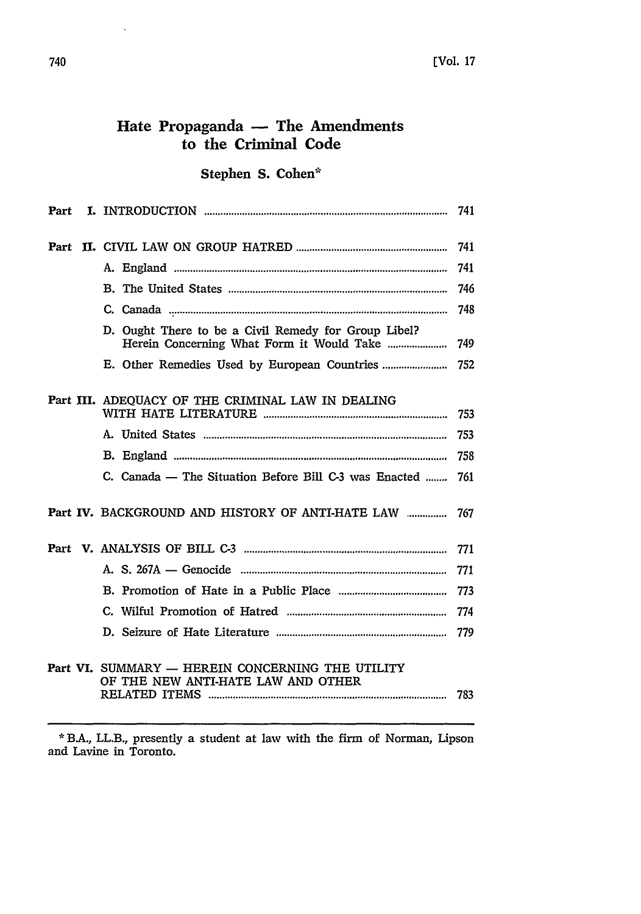# Hate Propaganda - The Amendments to the Criminal Code

# **Stephen S. Cohen\***

| Part |                                                                                        |      |
|------|----------------------------------------------------------------------------------------|------|
|      |                                                                                        | 741  |
|      |                                                                                        | 741  |
|      |                                                                                        | 746  |
|      |                                                                                        | 748  |
|      | D. Ought There to be a Civil Remedy for Group Libel?                                   | 749  |
|      |                                                                                        | 752  |
|      |                                                                                        |      |
|      | Part III. ADEOUACY OF THE CRIMINAL LAW IN DEALING                                      |      |
|      |                                                                                        | 753  |
|      |                                                                                        | 758  |
|      | C. Canada — The Situation Before Bill C-3 was Enacted                                  | 761  |
|      | Part IV. BACKGROUND AND HISTORY OF ANTI-HATE LAW                                       | 767  |
|      |                                                                                        | -771 |
|      |                                                                                        |      |
|      |                                                                                        |      |
|      |                                                                                        |      |
|      |                                                                                        |      |
|      | Part VI. SUMMARY - HEREIN CONCERNING THE UTILITY<br>OF THE NEW ANTI-HATE LAW AND OTHER |      |

**\*** BA., LL.B., presently a student at law with the firm of Norman, Lipson and Lavine in Toronto.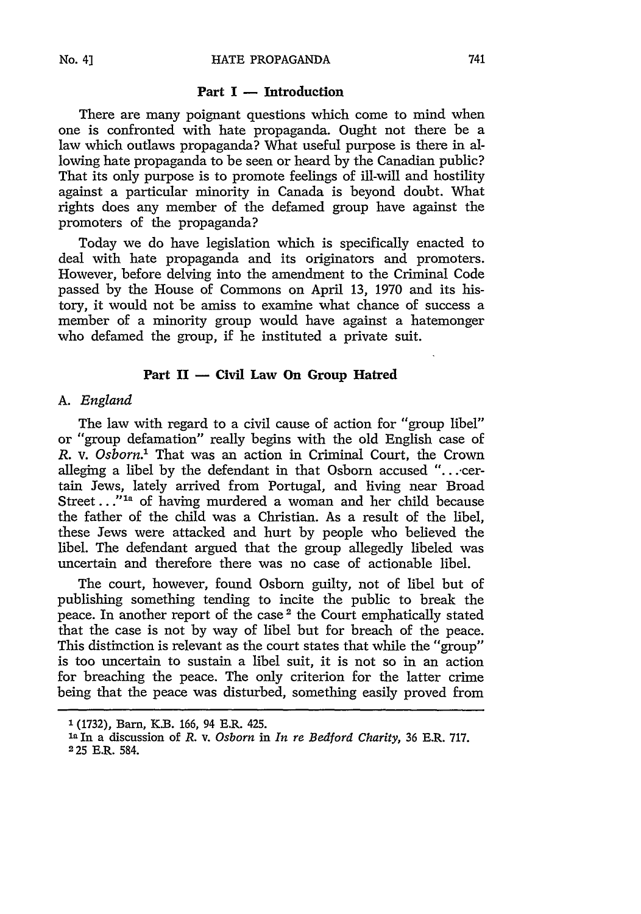## **Part I - Introduction**

There are many poignant questions which come to mind when one is confronted with hate propaganda. Ought not there be a law which outlaws propaganda? What useful purpose is there in allowing hate propaganda to be seen or heard by the Canadian public? That its only purpose is to promote feelings of ill-will and hostility against a particular minority in Canada is beyond doubt. What rights does any member of the defamed group have against the promoters of the propaganda?

Today we do have legislation which is specifically enacted to deal with hate propaganda and its originators and promoters. However, before delving into the amendment to the Criminal Code passed by the House of Commons on April 13, 1970 and its history, it would not be amiss to examine what chance of success a member of a minority group would have against a hatemonger who defamed the group, if he instituted a private suit.

## Part II - Civil Law On Group Hatred

## A. *England*

The law with regard to a civil cause of action for "group libel" or "group defamation" really begins with the old English case of *R. v. Osborn.1* That was an action in Criminal Court, the Crown alleging a libel by the defendant in that Osborn accused "....certain Jews, lately arrived from Portugal, and living near Broad Street..."<sup>1a</sup> of having murdered a woman and her child because the father of the child was a Christian. As a result of the libel, these Jews were attacked and hurt by people who believed the libel. The defendant argued that the group allegedly libeled was uncertain and therefore there was no case of actionable libel.

The court, however, found Osborn guilty, not of libel but of publishing something tending to incite the public to break the peace. In another report of the case 2 the Court emphatically stated that the case is not by way of libel but for breach of the peace. This distinction is relevant as the court states that while the "group" is too uncertain to sustain a libel suit, it is not so in an action for breaching the peace. The only criterion for the latter crime being that the peace was disturbed, something easily proved from

**<sup>1</sup>** (1732), Barn, K.B. 166, 94 E.R. 425.

ia In a discussion of *R.* v. *Osborn* in *In re Bedford Charity,* 36 E.R. 717. **2** 25 E.R. 584.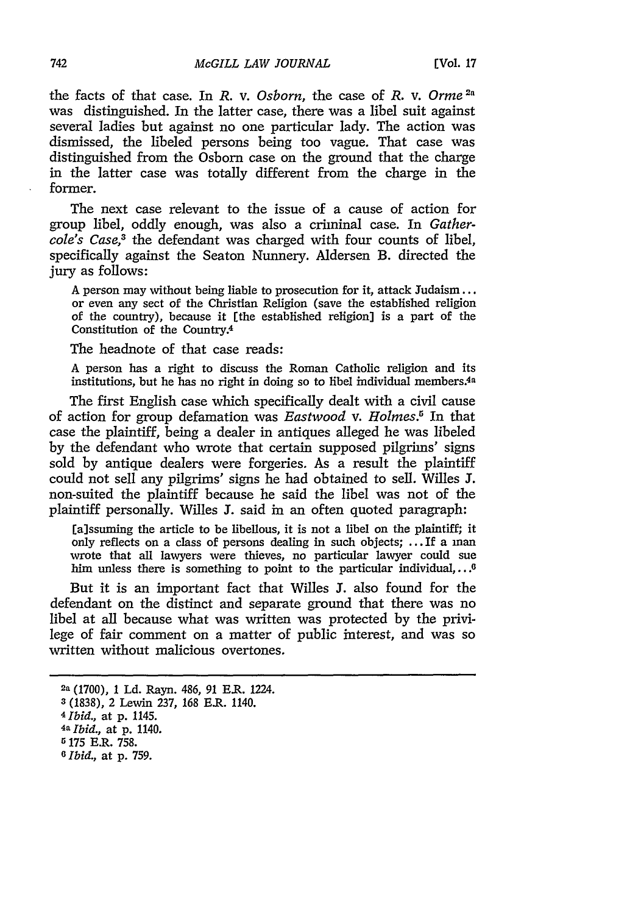the facts of that case. In *R.* v. *Osborn,* the case of *R.* v. *Orme 2 "* was distinguished. In the latter case, there was a libel suit against several ladies but against no one particular lady. The action was dismissed, the libeled persons being too vague. That case was distinguished from the Osborn case on the ground that the charge in the latter case was totally different from the charge in the former.

The next case relevant to the issue of a cause of action for group libel, oddly enough, was also a criminal case. In *Gathercole's Case,3* the defendant was charged with four counts of libel, specifically against the Seaton Nunnery. Aldersen B. directed the jury as follows:

A person may without being liable to prosecution for it, attack Judaism... or even any sect of the Christian Religion (save the established religion of the country), because it [the established religion] is a part of the Constitution of the Country.<sup>4</sup>

The headnote of that case reads:

A person has a right to discuss the Roman Catholic religion and its institutions, but he has no right in doing so to libel individual members.<sup>4a</sup>

The first English case which specifically dealt with a civil cause of action for group defamation was *Eastwood v. Holmes.* In that case the plaintiff, being a dealer in antiques alleged he was libeled by the defendant who wrote that certain supposed pilgrims' signs sold by antique dealers were forgeries. As a result the plaintiff could not sell any pilgrims' signs he had obtained to sell. Willes **J.** non-suited the plaintiff because he said the libel was not of the plaintiff personally. Willes J. said in an often quoted paragraph:

[a]ssuming the article to be libellous, it is not a libel on the plaintiff; it only reflects on a class of persons dealing in such objects; ... If a man wrote that all lawyers were thieves, no particular lawyer could sue him unless there is something to point to the particular individual,.. **0**

But it is an important fact that Willes **J.** also found for the defendant on the distinct and separate ground that there was no libel at all because what was written was protected by the privilege of fair comment on a matter of public interest, and was so written without malicious overtones.

*6 Ibid.,* at p. 759.

<sup>2</sup>a (1700), 1 Ld. Rayn. 486, 91 E.R. 1224.

**<sup>3</sup>** (1838), 2 Lewin 237, 168 E.R. 1140.

*<sup>4</sup>Ibid.,* at p. 1145.

**<sup>4</sup>a** *Ibid.,* at **p.** 1140.

<sup>5 175</sup> E.R. 758.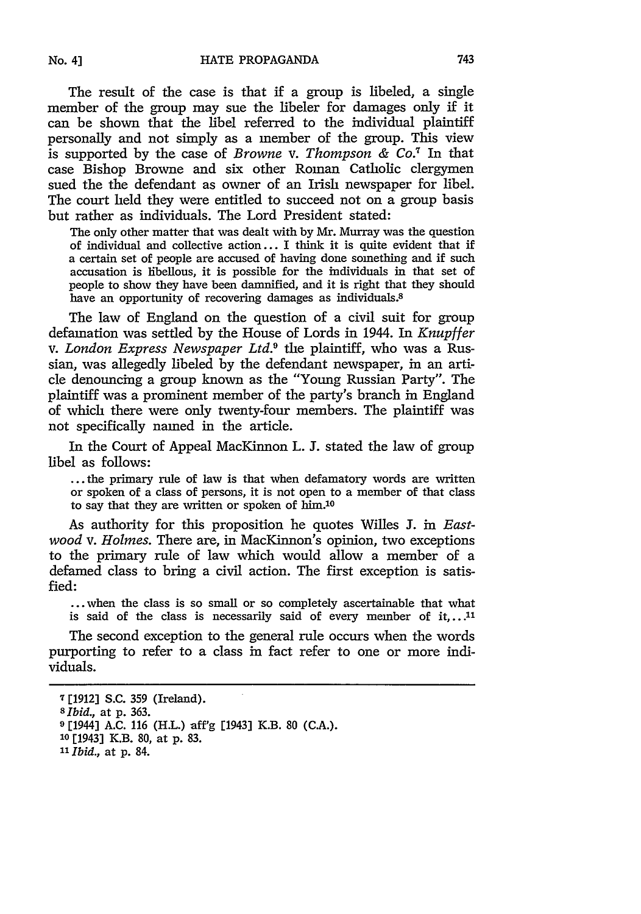The result of the case is that if a group is libeled, a single member of the group may sue the libeler for damages only if it can be shown that the libel referred to the individual plaintiff personally and not simply as a member of the group. This view is supported by the case of *Browne v. Thompson & Co.'* In that case Bishop Browne and six other Roman Catholic clergymen sued the the defendant as owner of an Irish newspaper for libel. The court held they were entitled to succeed not on a group basis but rather as individuals. The Lord President stated:

The only other matter that was dealt with by Mr. Murray was the question of individual and collective action... I think it is quite evident that if a certain set of people are accused of having done something and if such accusation is libellous, it is possible for the individuals in that set of people to show they have been damnified, and it is right that they should have an opportunity of recovering damages as individuals.<sup>8</sup>

The law of England on the question of a civil suit for group defamation was settled by the House of Lords in 1944. In *Knupffer v. London Express Newspaper Ltd.9* the plaintiff, who was a Russian, was allegedly libeled by the defendant newspaper, in an article denouncing a group known as the "Young Russian Party". The plaintiff was a prominent member of the party's branch in England of which there were only twenty-four members. The plaintiff was not specifically named in the article.

In the Court of Appeal MacKinnon L. J. stated the law of group libel as follows:

**...** the primary rule of law is that when defamatory words are written or spoken of a class of persons, it is not open to a member of that class to say that they are written or spoken of him.10

As authority for this proposition he quotes Willes **J.** in *Eastwood v. Holmes.* There are, in MacKinnon's opinion, two exceptions to the primary rule of law which would allow a member of a defamed class to bring a civil action. The first exception is satisfied:

... when the class is so small or so completely ascertainable that what is said of the class is necessarily said of every member of  $it, \ldots$ <sup>11</sup>

The second exception to the general rule occurs when the words purporting to refer to a class in fact refer to one or more individuals.

**<sup>7</sup>**[1912] S.C. 359 (Ireland).

**<sup>8</sup>***Ibid.,* at **p.** 363.

**<sup>9</sup>** [1944] A.C. 116 (H.L.) aff'g [1943] K.B. 80 (C.A.).

**<sup>10</sup>**[1943] K.B. 80, at p. 83.

*<sup>&</sup>quot;Ibid.,* at p. 84.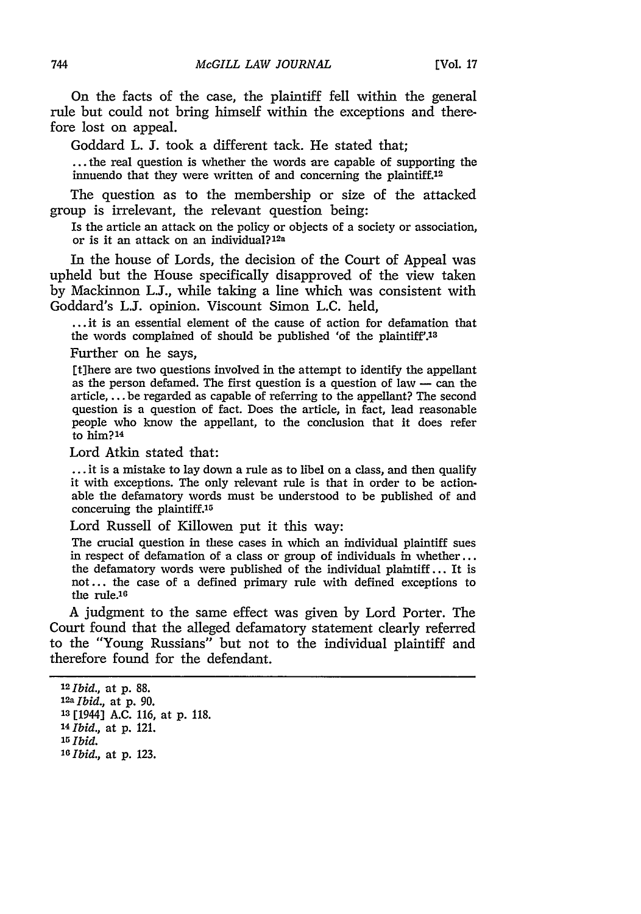On the facts of the case, the plaintiff fell within the general rule but could not bring himself within the exceptions and therefore lost on appeal.

Goddard L. **J.** took a different tack. He stated that;

**:..** the real question is whether the words are capable of supporting the innuendo that they were written of and concerning the plaintiff.12

The question as to the membership or size of the attacked group is irrelevant, the relevant question being:

Is the article an attack on the policy or objects of a society or association, or is it an attack on an individual?<sup>12a</sup>

In the house of Lords, the decision of the Court of Appeal was upheld but the House specifically disapproved of the view taken **by** Mackinnon **L.J.,** while taking a line which was consistent with Goddard's **L.J.** opinion. Viscount Simon **L.C.** held,

**...** it is an essential element of the cause of action for defamation that the words complained of should be published 'of the plaintiff'.<sup>13</sup>

Further on he says,

[tihere are two questions involved in the attempt to identify the appellant as the person defamed. The first question is a question of law — can the article, **...** be regarded as capable of referring to the appellant? The second question is a question of fact. Does the article, in fact, lead reasonable people who know the appellant, to the conclusion that it does refer to him? <sup>14</sup>

Lord Atkin stated that:

**...** it is a mistake to lay down a rule as to libel on a class, and then qualify it with exceptions. The only relevant rule is that in order to be actionable the defamatory words must be understood to be published of and conceruing the plaintiff.<sup>15</sup>

Lord Russell of Killowen put it this way:

The crucial question in these cases in which an individual plaintiff sues in respect of defamation of a class or group of individuals in whether... the defamatory words were published of the individual plaintiff... It is **not..,** the case of a defined primary rule with defined exceptions to the rule.<sup>16</sup>

**A** judgment to the same effect was given **by** Lord Porter. The Court found that the alleged defamatory statement clearly referred to the "Young Russians" but not to the individual plaintiff and therefore found for the defendant.

*2Ibid.,* at **p. 88.** *12a Ibid.,* at **p. 90. <sup>13</sup>**[1944] **A.C. 116,** at **p. 118. '4** *Ibid.,* at **p.** 121. *<sup>15</sup>Ibid. <sup>16</sup>Ibid.,* at **p. 123.**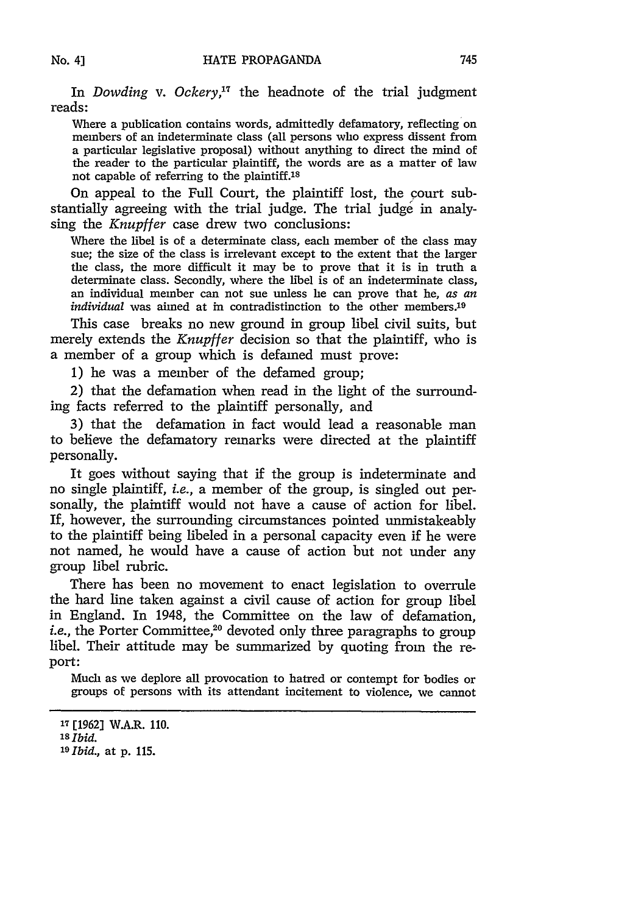In *Dowding* v. *Ockery,'7* the headnote of the trial judgment reads:

Where a publication contains words, admittedly defamatory, reflecting on members of an indeterminate class (all persons who express dissent from a particular legislative proposal) without anything to direct the mind of the reader to the particular plaintiff, the words are as a matter of law not capable of referring to the plaintiff.<sup>18</sup>

On appeal to the Full Court, the plaintiff lost, the court substantially agreeing with the trial judge. The trial **judge** in analysing the *Knupffer* case drew two conclusions:

Where the libel is of a determinate class, each member of the class may sue; the size of the class is irrelevant except to the extent that the larger the class, the more difficult it may be to prove that it is in truth a determinate class. Secondly, where the libel is of an indeterminate class, an individual member can not sue unless he can prove that he, *as an individual* was aimed at in contradistinction to the other members.<sup>19</sup>

This case breaks no new ground in group libel civil suits, but merely extends the *Knupffer* decision so that the plaintiff, who is a member of a group which is defamed must prove:

**1)** he was a member of the defamed group;

2) that the defamation when read in the light of the surrounding facts referred to the plaintiff personally, and

**3)** that the defamation in fact would lead a reasonable man to believe the defamatory remarks were directed at the plaintiff personally.

It goes without saying that if the group is indeterminate and no single plaintiff, *i.e.,* a member of the group, is singled out personally, the plaintiff would not have a cause of action for libel. If, however, the surrounding circumstances pointed unmistakeably to the plaintiff being libeled in a personal capacity even if he were not named, he would have a cause of action but not under any group libel rubric.

There has been no movement to enact legislation to overrule the hard line taken against a civil cause of action for group libel in England. In 1948, the Committee on the law of defamation, *i.e.*, the Porter Committee,<sup>20</sup> devoted only three paragraphs to group libel. Their attitude may be summarized **by** quoting from the report:

Much as we deplore all provocation to hatred or contempt for bodies or groups of persons with its attendant incitement to violence, we cannot

**<sup>17 [1962]</sup>** W.A.R. **110.**

*<sup>18</sup>Ibid.*

*<sup>19</sup>Ibid.,* at **p. 115.**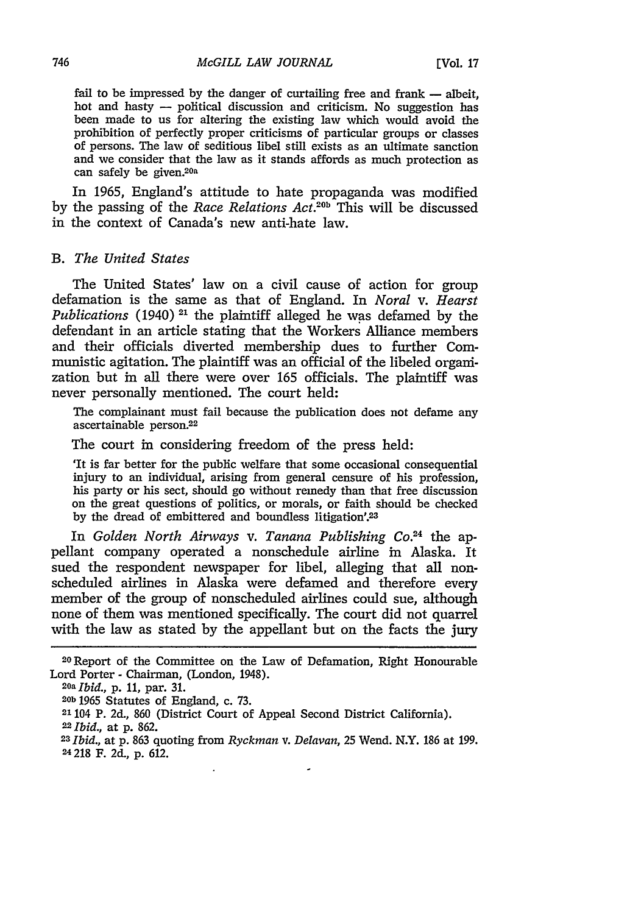fail to be impressed by the danger of curtailing free and frank — albeit, hot and hasty **-** political discussion and criticism. No suggestion has been made to us for altering the existing law which would avoid the prohibition of perfectly proper criticisms of particular groups or classes of persons. The law of seditious libel still exists as an ultimate sanction and we consider that the law as it stands affords as much protection as can safely be given.<sup>20a</sup>

In 1965, England's attitude to hate propaganda was modified by the passing of the *Race Relations Act*.<sup>2016</sup> This will be discussed in the context of Canada's new anti-hate law.

#### *B. The United States*

The United States' law on a civil cause of action for group defamation is the same as that of England. In *Noral v. Hearst Publications* (1940)<sup>21</sup> the plaintiff alleged he was defamed by the defendant in an article stating that the Workers Alliance members and their officials diverted membership dues to further Communistic agitation. The plaintiff was an official of the libeled organization but in all there were over 165 officials. The plaintiff was never personally mentioned. The court held:

The complainant must fail because the publication does not defame any ascertainable person.<sup>22</sup>

The court in considering freedom of the press held:

'It is far better for the public welfare that some occasional consequential injury to an individual, arising from general censure of his profession, his party or his sect, should go without remedy than that free discussion on the great questions of politics, or morals, or faith should be checked by the dread of embittered and boundless litigation'.<sup>23</sup>

In *Golden North Airways v. Tanana Publishing Co.*<sup>24</sup> the appellant company operated a nonschedule airline in Alaska. It sued the respondent newspaper for libel, alleging that all nonscheduled airlines in Alaska were defamed and therefore every member of the group of nonscheduled airlines could sue, although none of them was mentioned specifically. The court did not quarrel with the law as stated by the appellant but on the facts the jury

<sup>2</sup>OReport of the Committee on the Law of Defamation, Right Honourable Lord Porter - Chairman, (London, 1948).

**<sup>20</sup>a** *Ibid.,* p. 11, par. 31.

**<sup>20</sup>b** 1965 Statutes of England, c. 73.

**<sup>21</sup>**104 P. 2d., 860 (District Court of Appeal Second District California).

<sup>2</sup> *Ibid.,* at p. 862.

**<sup>23</sup>***Ibid.,* at p. 863 quoting from *Ryckman v. Delavan,* 25 Wend. N.Y. 186 at 199. 24 **218** F. **2d., p. 612.**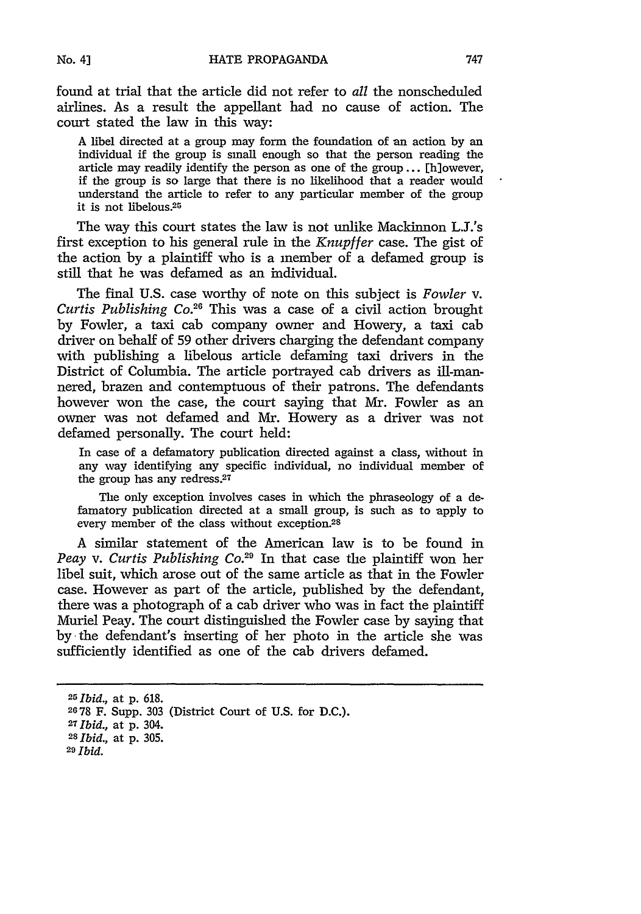found at trial that the article did not refer to *all* the nonscheduled airlines. As a result the appellant had no cause of action. The court stated the law in this way:

A libel directed at a group may form the foundation of an action by an individual if the group is small enough so that the person reading the article may readily identify the person as one of the group ... [hlowever, if the group is so large that there is no likelihood that a reader would understand the article to refer to any particular member of the group it is not libelous.25

The way this court states the law is not unlike Mackinnon L.J.'s first exception to his general rule in the *Knupffer* case. The gist of the action by a plaintiff who is a member of a defamed group is still that he was defamed as an individual.

The final U.S. case worthy of note on this subject is *Fowler v. Curtis Publishing Co.*<sup>26</sup> This was a case of a civil action brought by Fowler, a taxi cab company owner and Howery, a taxi cab driver on behalf of 59 other drivers charging the defendant company with publishing a libelous article defaming taxi drivers in the District of Columbia. The article portrayed cab drivers as ill-mannered, brazen and contemptuous of their patrons. The defendants however won the case, the court saying that Mr. Fowler as an owner was not defamed and Mr. Howery as a driver was not defamed personally. The court held:

In case of a defamatory publication directed against a class, without in any way identifying any specific individual, no individual member of the group has any redress.<sup>27</sup>

The only exception involves cases in which the phraseology of a defamatory publication directed at a small group, is such as to apply to every member of the class without exception.<sup>28</sup>

A similar statement of the American law is to be found in *Peay v. Curtis Publishing Co.*<sup>29</sup> In that case the plaintiff won her libel suit, which arose out of the same article as that in the Fowler case. However as part of the article, published by the defendant, there was a photograph of a cab driver who was in fact the plaintiff Muriel Peay. The court distinguished the Fowler case by saying that by the defendant's inserting of her photo in the article she was sufficiently identified as one of the cab drivers defamed.

*<sup>25</sup> Ibid.,* at **p.** 618. **2678** F. Supp. **303** (District Court of U.S. for D.C.). **<sup>27</sup>***Ibid.,* at p. 304. *<sup>28</sup>Ibid.,* at p. 305. *<sup>20</sup>Ibid.*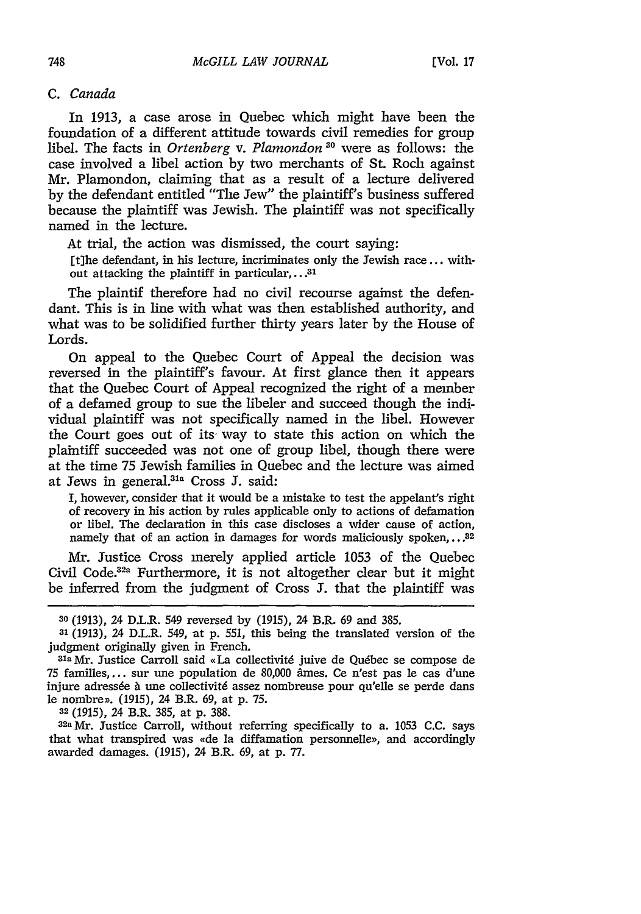#### *C. Canada*

In 1913, a case arose in Quebec which might have been the foundation of a different attitude towards civil remedies for group libel. The facts in *Ortenberg v. Plamondon*<sup>30</sup> were as follows: the case involved a libel action by two merchants of St. Roch against Mr. Plamondon, claiming that as a result of a lecture delivered by the defendant entitled "The Jew" the plaintiff's business suffered because the plaintiff was Jewish. The plaintiff was not specifically named in the lecture.

At trial, the action was dismissed, the court saying:

[tihe defendant, in his lecture, incriminates only the Jewish race **...** without attacking the plaintiff in particular,.. **.31**

The plaintif therefore had no civil recourse against the defendant. This is in line with what was then established authority, and what was to be solidified further thirty years later by the House of Lords.

On appeal to the Quebec Court of Appeal the decision was reversed in the plaintiff's favour. At first glance then it appears that the Quebec Court of Appeal recognized the right of a member of a defamed group to sue the libeler and succeed though the individual plaintiff was not specifically named in the libel. However the Court goes out of its way to state this action on which the plaintiff succeeded was not one of group libel, though there were at the time 75 Jewish families in Quebec and the lecture was aimed at Jews in general.31 a Cross **J.** said:

I, however, consider that it would be a mistake to test the appelant's right of recovery in his action by rules applicable only to actions of defamation or libel. The declaration in this case discloses a wider cause of action, namely that of an action in damages for words maliciously spoken,... $32$ 

Mr. Justice Cross merely applied article 1053 of the Quebec Civil Code.<sup>32a</sup> Furthermore, it is not altogether clear but it might be inferred from the judgment of Cross **J.** that the plaintiff was

**<sup>32</sup>**(1915), 24 B.R. 385, at p. 388.

32aMr. Justice Carroll, without referring specifically to a. 1053 C.C. says that what transpired was «de la diffamation personnelle», and accordingly awarded damages. (1915), 24 B.R. *69,* at p. 77.

**<sup>30</sup>**(1913), 24 D.L.R. 549 reversed by (1915), 24 B.R. 69 and 385.

**<sup>31</sup>**(1913), 24 D.L.R. 549, at p. 551, this being the translated version of the judgment originally given in French.

**<sup>3</sup>a** Mr. Justice Carroll said **a** La collectivit6 juive de Qu6bec se compose de 75 familles.... sur une population de 80,000 âmes. Ce n'est pas le cas d'une injure adressée à une collectivité assez nombreuse pour qu'elle se perde dans le nombre)>. (1915), 24 B.R. *69,* at p. 75.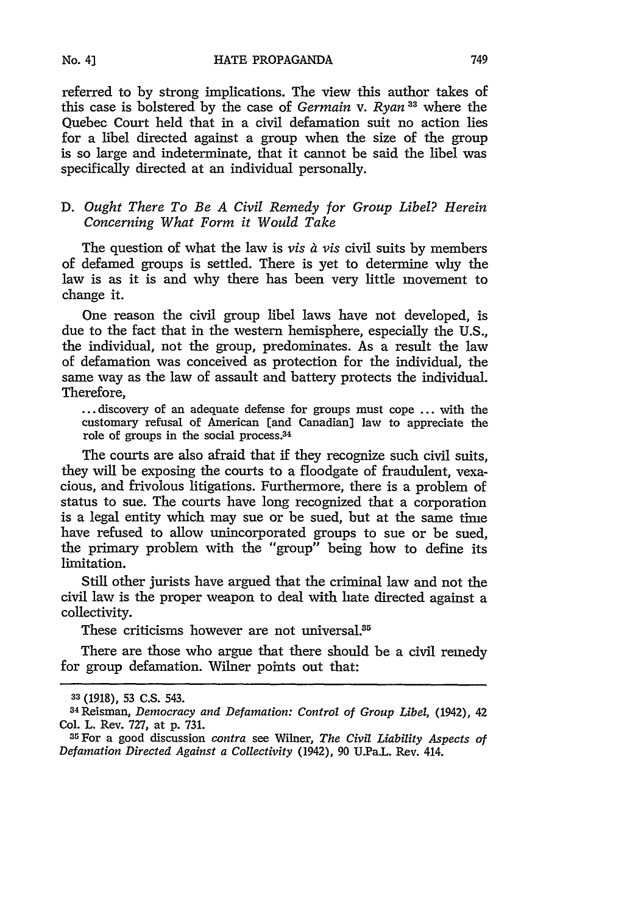referred to by strong implications. The view this author takes of this case is bolstered by the case of *Germain* v. *Ryan <sup>33</sup>*where the Quebec Court held that in a civil defamation suit no action lies for a libel directed against a group when the size of the group is so large and indeterminate, that it cannot be said the libel was specifically directed at an individual personally.

## *D. Ought There To Be A Civil Remedy for Group Libel? Herein Concerning What Form it Would Take*

The question of what the law is *vis & vis* civil suits by members of defamed groups is settled. There is yet to determine why the law is as it is and why there has been very little movement to change it.

One reason the civil group libel laws have not developed, is due to the fact that in the western hemisphere, especially the U.S., the individual, not the group, predominates. As a result the law of defamation was conceived as protection for the individual, the same way as the law of assault and battery protects the individual. Therefore,

**...** discovery of an adequate defense for groups must cope ... with the customary refusal of American [and Canadian] law to appreciate the role of groups in the social process.34

The courts are also afraid that if they recognize such civil suits, they will be exposing the courts to a floodgate of fraudulent, vexacious, and frivolous litigations. Furthermore, there is a problem of status to sue. The courts have long recognized that a corporation is a legal entity which may sue or be sued, but at the same time have refused to allow unincorporated groups to sue or be sued, the primary problem with the "group" being how to define its limitation.

Still other jurists have argued that the criminal law and not the civil law is the proper weapon to deal with hate directed against a collectivity.

These criticisms however are not universal. $35$ 

There are those who argue that there should be a civil remedy for group defamation. Wilner points out that:

**<sup>33</sup>** (1918), 53 C.S. 543.

<sup>34</sup> Reisman, *Democracy and Defamation: Control of Group Libel,* (1942), 42 Col. L. Rev. 727, at p. 731.

**<sup>35</sup>**For a good discussion *contra* see Wilner, *The Civil Liability Aspects of Defamation Directed Against a Collectivity* (1942), 90 U.Pa.L. Rev. 414.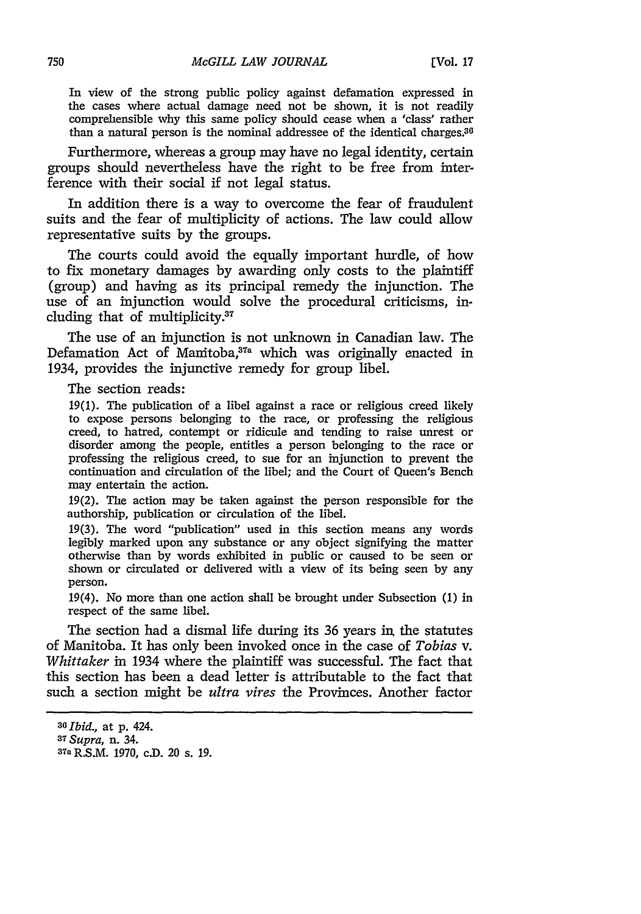In view of the strong public policy against defamation expressed in the cases where actual damage need not be shown, it is not readily comprehensible why this same policy should cease when a 'class' rather than a natural person is the nominal addressee of the identical charges. $36$ 

Furthermore, whereas a group may have no legal identity, certain groups should nevertheless have the right to be free from interference with their social if not legal status.

In addition there is a way to overcome the fear of fraudulent suits and the fear of multiplicity of actions. The law could allow representative suits by the groups.

The courts could avoid the equally important hurdle, of how to fix monetary damages by awarding only costs to the plaintiff (group) and having as its principal remedy the injunction. The use of an injunction would solve the procedural criticisms, including that of multiplicity.<sup>37</sup>

The use of an injunction is not unknown in Canadian law. The Defamation Act of Manitoba, $37a$  which was originally enacted in 1934, provides the injunctive remedy for group libel.

The section reads:

19(1). The publication of a libel against a race or religious creed likely to expose persons belonging to the race, or professing the religious creed, to hatred, contempt or ridicule and tending to raise unrest or disorder among the people, entitles a person belonging to the race or professing the religious creed, to sue for an injunction to prevent the continuation and circulation of the libel; and the Court of Queen's Bench may entertain the action.

19(2). The action may be taken against the person responsible for the authorship, publication or circulation of the libel.

19(3). The word "publication" used in this section means any words legibly marked upon any substance or any object signifying the matter otherwise than by words exhibited in public or caused to be seen or shown or circulated or delivered with a view of its being seen by any person.

19(4). No more than one action shall be brought under Subsection (1) in respect of the same libel.

The section had a dismal life during its 36 years in the statutes of Manitoba. It has only been invoked once in the case of *Tobias v. Whittaker* in 1934 where the plaintiff was successful. The fact that this section has been a dead letter is attributable to the fact that such a section might be *ultra vires* the Provinces. Another factor

*<sup>6</sup> Ibid.,* at **p.** 424. *<sup>3</sup> <sup>7</sup>Supra,* n. 34. **37a** R.S.M. 1970, c.D. 20 s. **19.**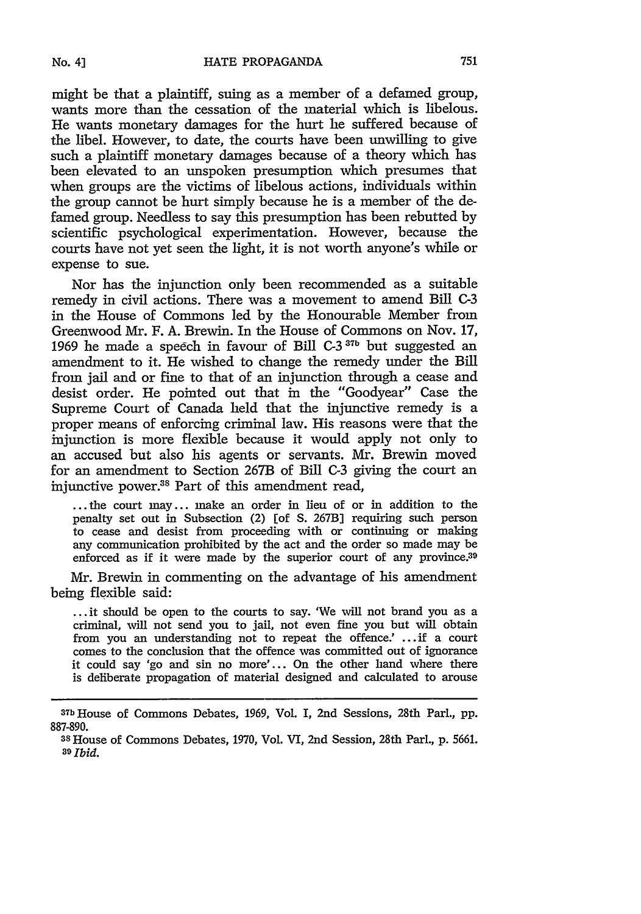might be that a plaintiff, suing as a member of a defamed group, wants more than the cessation of the material which is libelous. He wants monetary damages for the hurt he suffered because of the libel. However, to date, the courts have been unwilling to give such a plaintiff monetary damages because of a theory which has been elevated to an unspoken presumption which presumes that when groups are the victims of libelous actions, individuals within the group cannot be hurt simply because he is a member of the defamed group. Needless to say this presumption has been rebutted by scientific psychological experimentation. However, because the courts have not yet seen the light, it is not worth anyone's while or expense to sue.

Nor has the injunction only been recommended as a suitable remedy in civil actions. There was a movement to amend Bill **C-3** in the House of Commons led by the Honourable Member from Greenwood Mr. F. A. Brewin. In the House of Commons on Nov. 17, 1969 he made a speech in favour of Bill C-3 **37b** but suggested an amendment to it. He wished to change the remedy under the Bill from jail and or fine to that of an injunction through a cease and desist order. He pointed out that in the "Goodyear" Case the Supreme Court of Canada held that the injunctive remedy is a proper means of enforcing criminal law. His reasons were that the injunction is more flexible because it would apply not only to an accused but also his agents or servants. Mr. Brewin moved for an amendment to Section 267B of Bill C-3 giving the court an injunctive power **. <sup>3</sup>**Part of this amendment read,

... the court may... make an order in lieu of or in addition to the penalty set out in Subsection (2) [of S. **267B]** requiring such person to cease and desist from proceeding with or continuing or making any communication prohibited by the act and the order so made may be enforced as if it were made by the superior court of any province.<sup>39</sup>

Mr. Brewin in commenting on the advantage of his amendment being flexible said:

... it should be open to the courts to say. 'We will not brand you as a criminal, will not send you to jail, not even fine you but will obtain from you an understanding not to repeat the offence.' ... if a court comes to the conclusion that the offence was committed out of ignorance it could say 'go and sin no more'... On the other hand where there is deliberate propagation of material designed and calculated to arouse

**<sup>37</sup>b** House of Commons Debates, 1969, Vol. I, 2nd Sessions, 28th Parl., pp. 887-890.

**<sup>38</sup>**House of Commons Debates, 1970, Vol. VI, 2nd Session, 28th Parl., p. 5661. **<sup>39</sup>***Ibid.*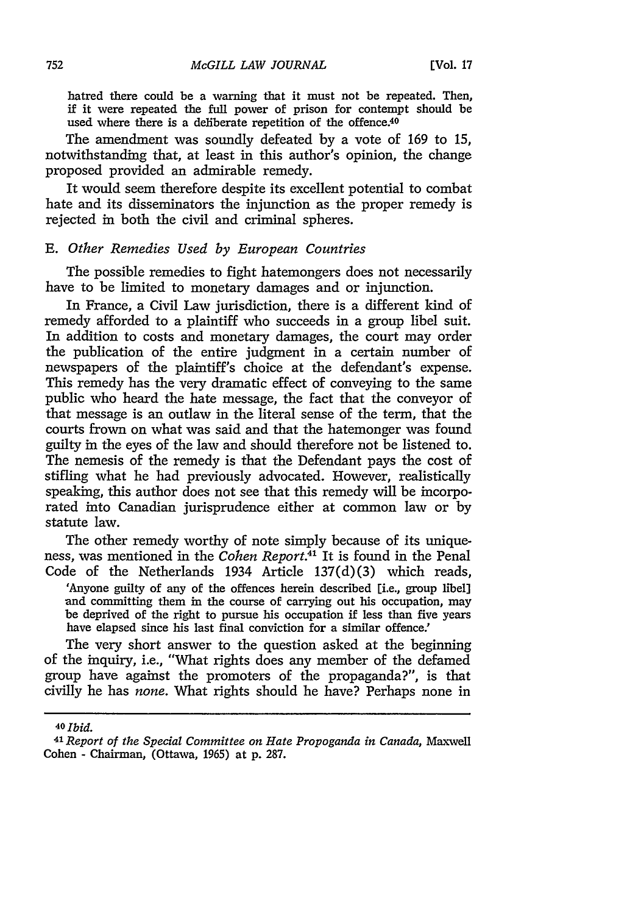hatred there could be a warning that it must not be repeated. Then, if it were repeated the full power of prison for contempt should be used where there is a deliberate repetition of the offence.<sup>40</sup>

The amendment was soundly defeated by a vote of 169 to 15, notwithstanding that, at least in this author's opinion, the change proposed provided an admirable remedy.

It would seem therefore despite its excellent potential to combat hate and its disseminators the injunction as the proper remedy is rejected in both the civil and criminal spheres.

## *E. Other Remedies Used by European Countries*

The possible remedies to fight hatemongers does not necessarily have to be limited to monetary damages and or injunction.

In France, a Civil Law jurisdiction, there is a different kind of remedy afforded to a plaintiff who succeeds in a group libel suit. In addition to costs and monetary damages, the court may order the publication of the entire judgment in a certain number of newspapers of the plaintiff's choice at the defendant's expense. This remedy has the very dramatic effect of conveying to the same public who heard the hate message, the fact that the conveyor of that message is an outlaw in the literal sense of the term, that the courts frown on what was said and that the hatemonger was found guilty in the eyes of the law and should therefore not be listened to. The nemesis of the remedy is that the Defendant pays the cost of stifling what he had previously advocated. However, realistically speaking, this author does not see that this remedy will be incorporated into Canadian jurisprudence either at common law or by statute law.

The other remedy worthy of note simply because of its uniqueness, was mentioned in the *Cohen Report.41* It is found in the Penal Code of the Netherlands 1934 Article 137(d)(3) which reads,

'Anyone guilty of any of the offences herein described [i.e., group libel] and committing them in the course of carrying out his occupation, may be deprived of the right to pursue his occupation if less than five years have elapsed since his last final conviction for a similar offence.'

The very short answer to the question asked at the beginning of the inquiry, i.e., "What rights does any member of the defamed group have against the promoters of the propaganda?", is that civilly he has *none.* What rights should he have? Perhaps none in

**<sup>40</sup>***Ibid.*

*<sup>4</sup> 1 Report of the Special Committee on Hate Propoganda in Canada,* Maxwell Cohen - Chairman, (Ottawa, 1965) at p. 287.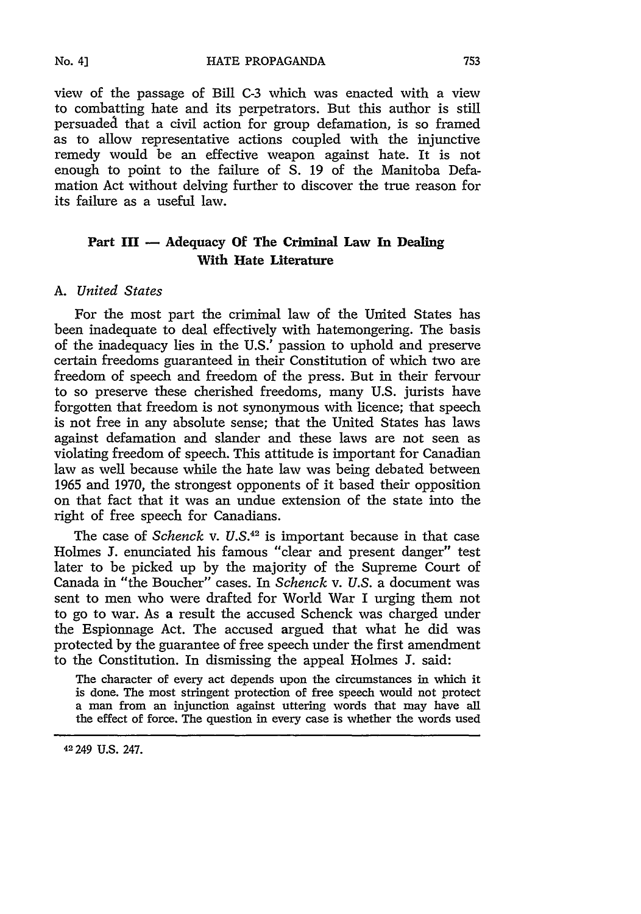view of the passage of Bill C-3 which was enacted with a view to combatting hate and its perpetrators. But this author is still persuaded that a civil action for group defamation, is so framed as to allow representative actions coupled with the injunctive remedy would be an effective weapon against hate. It is not enough to point to the failure of S. 19 of the Manitoba Defamation Act without delving further to discover the true reason for its failure as a useful law.

## **Part III -** Adequacy **Of** The **Criminal Law In Dealing With Hate Literature**

#### *A. United States*

For the most part the criminal law of the United States has been inadequate to deal effectively with hatemongering. The basis of the inadequacy lies in the U.S.' passion to uphold and preserve certain freedoms guaranteed in their Constitution of which two are freedom of speech and freedom of the press. But in their fervour to so preserve these cherished freedoms, many U.S. jurists have forgotten that freedom is not synonymous with licence; that speech is not free in any absolute sense; that the United States has laws against defamation and slander and these laws are not seen as violating freedom of speech. This attitude is important for Canadian law as well because while the hate law was being debated between 1965 and 1970, the strongest opponents of it based their opposition on that fact that it was an undue extension of the state into the right of free speech for Canadians.

The case of *Schenck v. U.S.42* is important because in that case Holmes J. enunciated his famous "clear and present danger" test later to be picked up by the majority of the Supreme Court of Canada in "the Boucher" cases. In *Schenck v. U.S.* a document was sent to men who were drafted for World War I urging them not to go to war. As a result the accused Schenck was charged under the Espionnage Act. The accused argued that what he did was protected by the guarantee of free speech under the first amendment to the Constitution. In dismissing the appeal Holmes **J.** said:

The character of every act depends upon the circumstances in which it is done. The most stringent protection of free speech would not protect a man from an injunction against uttering words that may have all the effect of force. The question in every case is whether the words used

**<sup>42249</sup>** U.S. 247.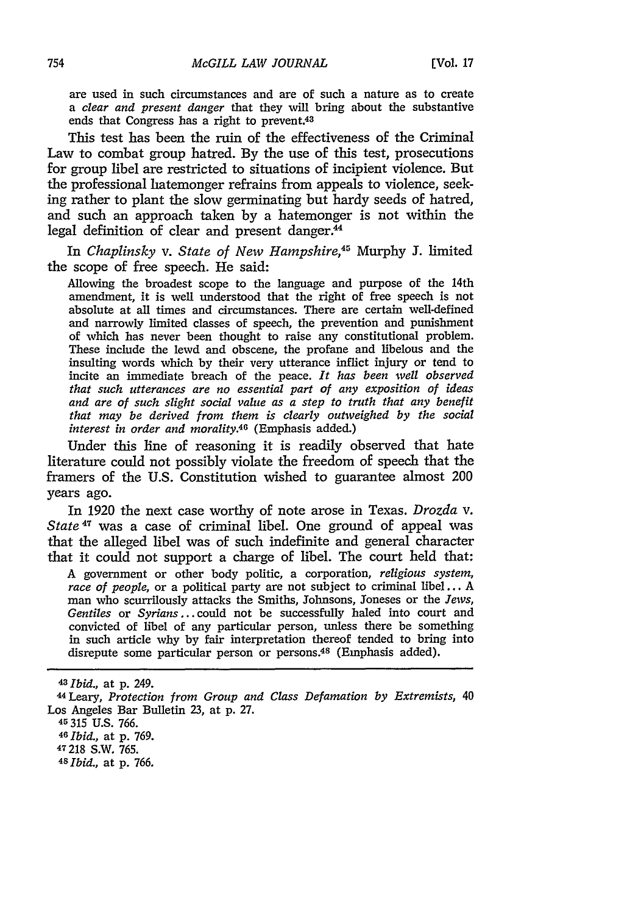are used in such circumstances and are of such a nature as to create a *clear and present danger* that they will bring about the substantive ends that Congress has a right to prevent.<sup>43</sup>

This test has been the ruin of the effectiveness of the Criminal Law to combat group hatred. By the use of this test, prosecutions for group libel are restricted to situations of incipient violence. But the professional hatemonger refrains from appeals to violence, seeking rather to plant the slow germinating but hardy seeds of hatred, and such an approach taken by a hatemonger is not within the legal definition of clear and present danger.44

In *Chaplinsky v. State of New Hampshire,45* Murphy **J.** limited the scope of free speech. He said:

Allowing the broadest scope to the language and purpose of the 14th amendment, it is well understood that the right of free speech is not absolute at all times and circumstances. There are certain well-defined and narrowly limited classes of speech, the prevention and punishment of which has never been thought to raise any constitutional problem. These include the lewd and obscene, the profane and libelous and the insulting words which by their very utterance inflict injury or tend to incite an immediate breach of the peace. *It has been well observed that such utterances are no essential part of any exposition of ideas and are of such slight social value as a step to truth that any benefit that may be derived from them is clearly outweighed by the social interest in order and morality.46* (Emphasis added.)

Under this line of reasoning it is readily observed that hate literature could not possibly violate the freedom of speech that the framers of the U.S. Constitution wished to guarantee almost 200 years ago.

In 1920 the next case worthy of note arose in Texas. *Drozda v. State*<sup>47</sup> was a case of criminal libel. One ground of appeal was that the alleged libel was of such indefinite and general character that it could not support a charge of libel. The court held that:

A government or other body politic, a corporation, *religious system, race of people,* or a political party are not subject to criminal libel... A man who scurrilously attacks the Smiths, Johnsons, Joneses or the *Jews, Gentiles* or *Syrians* ... could not be successfully haled into court and convicted of libel of any particular person, unless there be something in such article why by fair interpretation thereof tended to bring into disrepute some particular person or persons.<sup>48</sup> (Emphasis added).

**45315** U.S. 766. *46 Ibid.,* at p. 769. **47218** S.W. 765.

*4 8 Ibid.,* at p. 766.

*<sup>43</sup>Ibid.,* at p. 249.

<sup>44</sup> Leary, *Protection from Group and Class Defamation by Extremists,* 40 Los Angeles Bar Bulletin 23, at p. 27.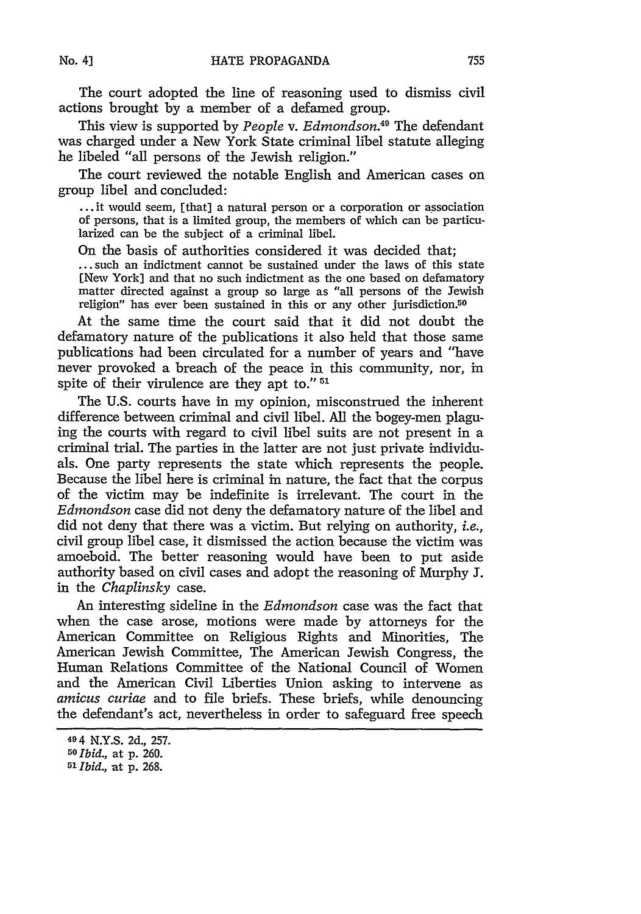The court adopted the line of reasoning used to dismiss civil actions brought by a member of a defamed group.

This view is supported by *People v. Edmondson.49* The defendant was charged under a New York State criminal libel statute alleging he libeled "all persons of the Jewish religion."

The court reviewed the notable English and American cases on group libel and concluded:

... it would seem. [that] a natural person or a corporation or association of persons, that is a limited group, the members of which can be particularized can be the subject of a criminal libel.

On the basis of authorities considered it was decided that; ... such an indictment cannot be sustained under the laws of this state

[New York] and that no such indictment as the one based on defamatory matter directed against a group so large as "all persons of the Jewish religion" has ever been sustained in this or any other jurisdiction.<sup>50</sup>

At the same time the court said that it did not doubt the defamatory nature of the publications it also held that those same publications had been circulated for a number of years and "have never provoked a breach of the peace in this community, nor, in spite of their virulence are they apt to."<sup>51</sup>

The U.S. courts have in my opinion, misconstrued the inherent difference between criminal and civil libel. All the bogey-men plaguing the courts with regard to civil libel suits are not present in a criminal trial. The parties in the latter are not just private individuals. One party represents the state which represents the people. Because the libel here is criminal in nature, the fact that the corpus of the victim may be indefinite is irrelevant. The court in the *Edmondson* case did not deny the defamatory nature of the libel and did not deny that there was a victim. But relying on authority, *i.e.,* civil group libel case, it dismissed the action because the victim was amoeboid. The better reasoning would have been to put aside authority based on civil cases and adopt the reasoning of Murphy **J.** in the *Chaplinsky* case.

An interesting sideline in the *Edmondson* case was the fact that when the case arose, motions were made by attorneys for the American Committee on Religious Rights and Minorities, The American Jewish Committee, The American Jewish Congress, the Human Relations Committee of the National Council of Women and the American Civil Liberties Union asking to intervene as *amicus curiae* and to file briefs. These briefs, while denouncing the defendant's act, nevertheless in order to safeguard free speech

**<sup>494</sup>** N.Y.S. 2d., 257.

*<sup>50</sup>Ibid.,* at p. 260.

*<sup>51</sup>Ibid.,* at **p. 268.**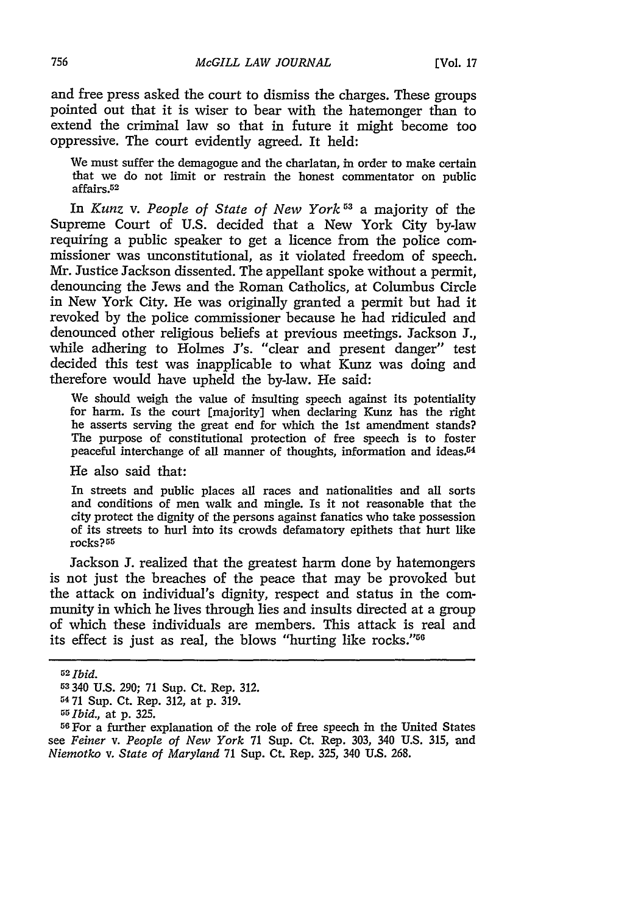and free press asked the court to dismiss the charges. These groups pointed out that it is wiser to bear with the hatemonger than to extend the criminal law so that in future it might become too oppressive. The court evidently agreed. It held:

We must suffer the demagogue and the charlatan, in order to make certain that we do not limit or restrain the honest commentator on public affairs.52

In *Kunz v. People of State of New York <sup>5</sup> <sup>3</sup>*a majority of the Supreme Court of U.S. decided that a New York City by-law requiring a public speaker to get a licence from the police commissioner was unconstitutional, as it violated freedom of speech. Mr. Justice Jackson dissented. The appellant spoke without a permit, denouncing the Jews and the Roman Catholics, at Columbus Circle in New York City. He was originally granted a permit but had it revoked by the police commissioner because he had ridiculed and denounced other religious beliefs at previous meetings. Jackson J., while adhering to Holmes J's. "clear and present danger" test decided this test was inapplicable to what Kunz was doing and therefore would have upheld the by-law. He said:

We should weigh the value of insulting speech against its potentiality for harm. Is the court [majority] when declaring Kunz has the right he asserts serving the great end for which the 1st amendment stands? The purpose of constitutional protection of free speech is to foster peaceful interchange of all manner of thoughts, information and ideas.<sup>54</sup>

He also said that:

In streets and public places all races and nationalities and all sorts and conditions of men walk and mingle. Is it not reasonable that the city protect the dignity of the persons against fanatics who take possession of its streets to hurl into its crowds defamatory epithets that hurt like rocks?<sup>55</sup>

Jackson J. realized that the greatest harm done by hatemongers is not just the breaches of the peace that may be provoked but the attack on individual's dignity, respect and status in the community in which he lives through lies and insults directed at a group of which these individuals are members. This attack is real and its effect is just as real, the blows "hurting like rocks."<sup>56</sup>

*<sup>52</sup>Ibid.*

<sup>53340</sup>U.S. 290; 71 Sup. Ct. Rep. 312.

<sup>5471</sup>Sup. Ct. Rep. 312, at p. 319.

*<sup>55</sup>Ibid.,* at p. 325.

<sup>56</sup>For a further explanation of the role of free speech in the United States see *Feiner v. People of New York* 71 Sup. Ct. Rep. 303, 340 U.S. 315, and *Niemotko v. State of Maryland* 71 Sup. Ct. Rep. 325, 340 U.S. 268.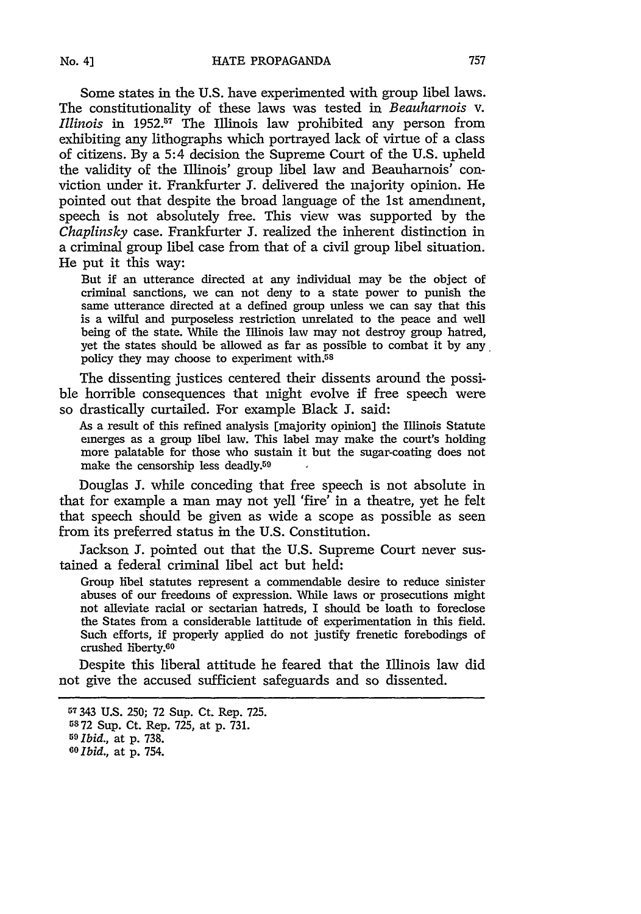Some states in the U.S. have experimented with group libel laws. The constitutionality of these laws was tested in *Beauharnois v. Illinois in* 1952."7 The Illinois law prohibited any person from exhibiting any lithographs which portrayed lack of virtue of a class of citizens. By a 5:4 decision the Supreme Court of the U.S. upheld the validity of the Illinois' group libel law and Beauharnois' conviction under it. Frankfurter *I.* delivered the majority opinion. He pointed out that despite the broad language of the 1st amendment, speech is not absolutely free. This view was supported by the *Chaplinsky* case. Frankfurter **J.** realized the inherent distinction in a criminal group libel case from that of a civil group libel situation. He put it this way:

But if an utterance directed at any individual may be the object of criminal sanctions, we can not deny to a state power to punish the same utterance directed at a defined group unless we can say that this is a wilful and purposeless restriction unrelated to the peace and well being of the state. While the Illinois law may not destroy group hatred, yet the states should be allowed as far as possible to combat it by any policy they may choose to experiment with.58

The dissenting justices centered their dissents around the possible horrible consequences that might evolve if free speech were so drastically curtailed. For example Black J. said:

As a result of this refined analysis [majority opinion] the Illinois Statute emerges as a group libel law. This label may make the court's holding more palatable for those who sustain it but the sugar-coating does not make the censorship less deadly.59

Douglas **J.** while conceding that free speech is not absolute in that for example a man may not yell 'fire' in a theatre, yet he felt that speech should be given as wide a scope as possible as seen from its preferred status in the U.S. Constitution.

Jackson J. pointed out that the U.S. Supreme Court never sustained a federal criminal libel act but held:

Group libel statutes represent a commendable desire to reduce sinister abuses of our freedoms of expression. While laws or prosecutions might not alleviate racial or sectarian hatreds, I should be loath to foreclose the States from a considerable lattitude of experimentation in this field. Such efforts, if properly applied do not justify frenetic forebodings of crushed liberty.<sup>60</sup>

Despite this liberal attitude he feared that the Illinois law did not give the accused sufficient safeguards and so dissented.

**<sup>57</sup>**343 U.S. 250; 72 Sup. Ct. Rep. 725.

<sup>5872</sup> Sup. Ct. Rep. 725, at p. 731.

*<sup>59</sup> Ibid.,* at p. 738.

**<sup>60</sup>***Ibid.,* at p. 754.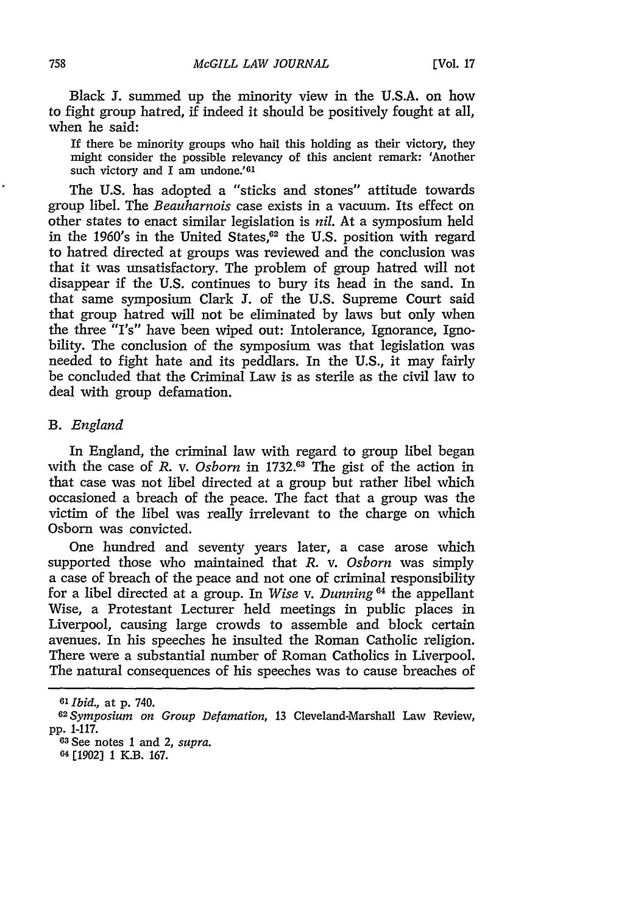Black J. summed up the minority view in the U.S.A. on how to fight group hatred, if indeed it should be positively fought at all, when he said:

If there be minority groups who hail this holding as their victory, they might consider the possible relevancy of this ancient remark: 'Another such victory and I am undone.' $61$ 

The U.S. has adopted a "sticks and stones" attitude towards group libel. The *Beauharnois* case exists in a vacuum. Its effect on other states to enact similar legislation is *nil.* At a symposium held in the 1960's in the United States,<sup>62</sup> the U.S. position with regard to hatred directed at groups was reviewed and the conclusion was that it was unsatisfactory. The problem of group hatred will not disappear if the U.S. continues to bury its head in the sand. In that same symposium Clark **J.** of the U.S. Supreme Court said that group hatred will not be eliminated by laws but only when the three "I's" have been wiped out: Intolerance, Ignorance, Ignobility. The conclusion of the symposium was that legislation was needed to fight hate and its peddlars. In the U.S., it may fairly be concluded that the Criminal Law is as sterile as the civil law to deal with group defamation.

## *B. England*

In England, the criminal law with regard to group libel began with the case of *R.* v. *Osborn* in 1732.63 The gist of the action in that case was not libel directed at a group but rather libel which occasioned a breach of the peace. The fact that a group was the victim of the libel was really irrelevant to the charge on which Osborn was convicted.

One hundred and seventy years later, a case arose which supported those who maintained that *R.* v. *Osborn* was simply a case of breach of the peace and not one of criminal responsibility for a libel directed at a group. In *Wise v. Dunning* <sup>64</sup> the appellant Wise, a Protestant Lecturer held meetings in public places in Liverpool, causing large crowds to assemble and block certain avenues. In his speeches he insulted the Roman Catholic religion. There were a substantial number of Roman Catholics in Liverpool. The natural consequences of his speeches was to cause breaches of

*<sup>61</sup>Ibid.,* at p. 740.

*<sup>62</sup> Symposium on Group Defamation,* **13** Cleveland-Marshall Law Review, pp. **1-117.**

<sup>63</sup>See notes **I** and 2, *supra.*

**<sup>64</sup>**[1902J **1** K.B. 167.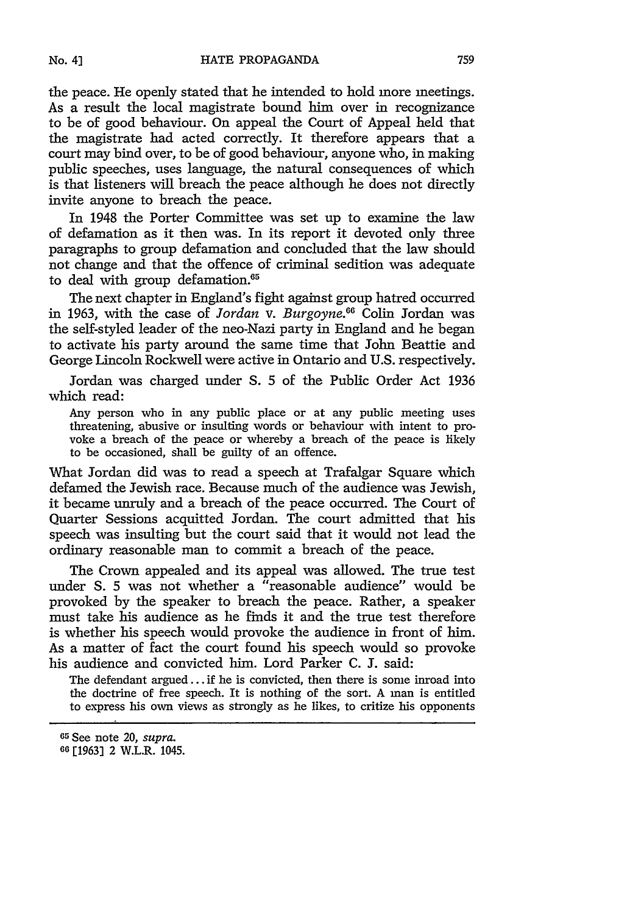the peace. He openly stated that he intended to hold more meetings. As a result the local magistrate bound him over in recognizance to be of good behaviour. On appeal the Court of Appeal held that the magistrate had acted correctly. It therefore appears that a court may bind over, to be of good behaviour, anyone who, in making public speeches, uses language, the natural consequences of which is that listeners will breach the peace although he does not directly invite anyone to breach the peace.

In 1948 the Porter Committee was set up to examine the law of defamation as it then was. In its report it devoted only three paragraphs to group defamation and concluded that the law should not change and that the offence of criminal sedition was adequate to deal with group defamation.<sup>65</sup>

The next chapter in England's fight against group hatred occurred in 1963, with the case of *Jordan v. Burgoyne*.<sup>66</sup> Colin Jordan was the self-styled leader of the neo-Nazi party in England and he began to activate his party around the same time that John Beattie and George Lincoln Rockwell were active in Ontario and U.S. respectively.

Jordan was charged under S. 5 of the Public Order Act 1936 which read:

Any person who in any public place or at any public meeting uses threatening, abusive or insulting words or behaviour with intent to provoke a breach of the peace or whereby a breach of the peace is likely to be occasioned, shall be guilty of an offence.

What Jordan did was to read a speech at Trafalgar Square which defamed the Jewish race. Because much of the audience was Jewish, it became unruly and a breach of the peace occurred. The Court of Quarter Sessions acquitted Jordan. The court admitted that his speech was insulting but the court said that it would not lead the ordinary reasonable man to commit a breach of the peace.

The Crown appealed and its appeal was allowed. The true test under S. 5 was not whether a "reasonable audience" would be provoked by the speaker to breach the peace. Rather, a speaker must take his audience as he finds it and the true test therefore is whether his speech would provoke the audience in front of him. As a matter of fact the court found his speech would so provoke his audience and convicted him. Lord Parker C. J. said:

The defendant argued.., if he is convicted, then there is some inroad into the doctrine of free speech. It is nothing of the sort. A man is entitled to express his own views as strongly as he likes, to critize his opponents

<sup>&</sup>lt;sup>65</sup> See note 20, *supra*.

**<sup>06</sup>** [1963] 2 W.L.R. 1045.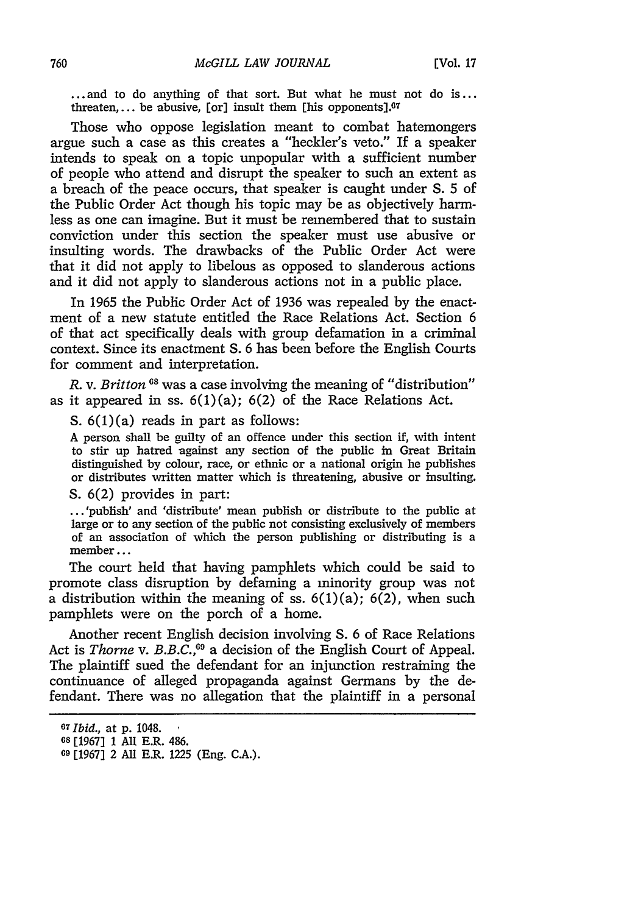**...** and to do anything of that sort. But what he must not do is **...** threaten,... be abusive, [or] insult them [his opponents]. $67$ 

Those who oppose legislation meant to combat hatemongers argue such a case as this creates a "heckler's veto." If a speaker intends to speak on a topic unpopular with a sufficient number of people who attend and disrupt the speaker to such an extent as a breach of the peace occurs, that speaker is caught under **S.** 5 of the Public Order Act though his topic may be as objectively harmless as one can imagine. But it must be remembered that to sustain conviction under this section the speaker must use abusive or insulting words. The drawbacks of the Public Order Act were that it did not apply to libelous as opposed to slanderous actions and it did not apply to slanderous actions not in a public place.

In 1965 the Public Order Act of 1936 was repealed by the enactment of a new statute entitled the Race Relations Act. Section 6 of that act specifically deals with group defamation in a criminal context. Since its enactment **S.** 6 has been before the English Courts for comment and interpretation.

*R. v. Britton* **1s** was a case involving the meaning of "distribution" as it appeared in ss.  $6(1)(a)$ ;  $6(2)$  of the Race Relations Act.

S. 6(1)(a) reads in part as follows:

A person shall be guilty of an offence under this section if, with intent to stir up hatred against any section of the public in Great Britain distinguished by colour, race, or ethnic or a national origin he publishes or distributes written matter which is threatening, abusive or insulting.

**S.** 6(2) provides in part:

... 'publish' and 'distribute' mean publish or distribute to the public at large or to any section of the public not consisting exclusively of members of an association of which the person publishing or distributing is a member ...

The court held that having pamphlets which could be said to promote class disruption by defaming a minority group was not a distribution within the meaning of ss.  $6(1)(a)$ ;  $6(2)$ , when such pamphlets were on the porch of a home.

Another recent English decision involving **S.** 6 of Race Relations Act is *Thorne v. B.B.C.,69* a decision of the English Court of Appeal. The plaintiff sued the defendant for an injunction restraining the continuance of alleged propaganda against Germans by the defendant. There was no allegation that the plaintiff in a personal

**<sup>67</sup>***Ibid.,* at p. 1048.

**<sup>6</sup>s** [1967] 1 All E.R. 486.

**<sup>69</sup>**[1967] 2 All E.R. 1225 (Eng. C.A.).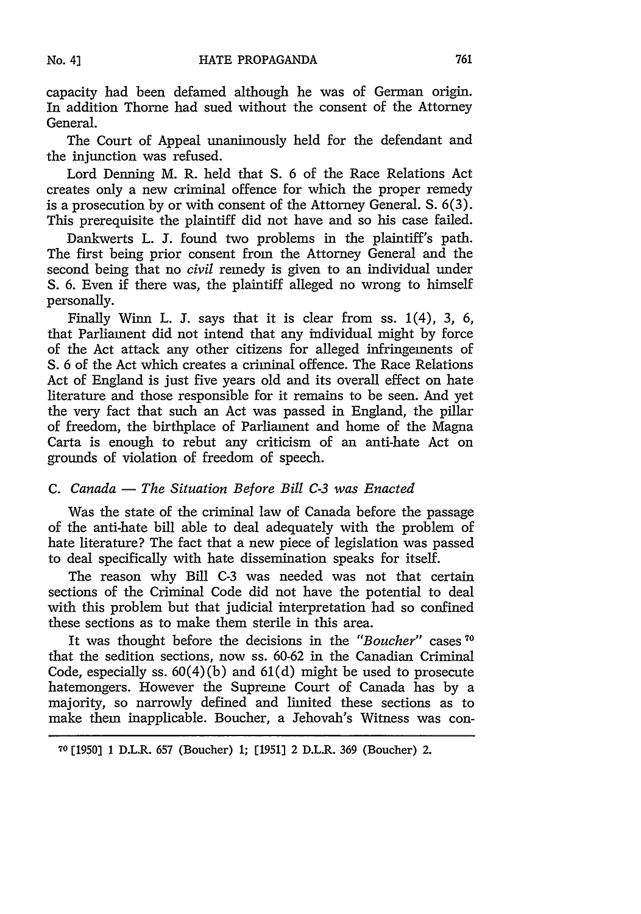capacity had been defamed although he was of German origin. In addition Thorne had sued without the consent of the Attorney General.

The Court of Appeal unanimously held for the defendant and the injunction was refused.

Lord Denning M. R. held that S. 6 of the Race Relations Act creates only a new criminal offence for which the proper remedy is a prosecution by or with consent of the Attorney General. S. 6(3). This prerequisite the plaintiff did not have and so his case failed.

Dankwerts L. **J.** found two problems in the plaintiff's path. The first being prior consent from the Attorney General and the second being that no *civil* remedy is given to an individual under S. 6. Even if there was, the plaintiff alleged no wrong to himself personally.

Finally Winn L. J. says that it is clear from ss. 1(4), 3, 6, that Parliament did not intend that any individual might by force of the Act attack any other citizens for alleged infringements of S. 6 of the Act which creates a criminal offence. The Race Relations Act of England is just five years old and its overall effect on hate literature and those responsible for it remains to be seen. And yet the very fact that such an Act was passed in England, the pillar of freedom, the birthplace of Parliament and home of the Magna Carta is enough to rebut any criticism of an anti-hate Act on grounds of violation of freedom of speech.

## *C. Canada* **-** *The Situation Before Bill C-3 was Enacted*

Was the state of the criminal law of Canada before the passage of the anti-hate bill able to deal adequately with the problem of hate literature? The fact that a new piece of legislation was passed to deal specifically with hate dissemination speaks for itself.

The reason why Bill **C-3** was needed was not that certain sections of the Criminal Code did not have the potential to deal with this problem but that judicial interpretation had so confined these sections as to make them sterile in this area.

It was thought before the decisions in the *"Boucher"* cases" that the sedition sections, now ss. 60-62 in the Canadian Criminal Code, especially ss.  $60(4)(b)$  and  $61(d)$  might be used to prosecute hatemongers. However the Supreme Court of Canada has by a majority, so narrowly defined and limited these sections as to make them inapplicable. Boucher, a Jehovah's Witness was con-

**No. 4]**

**<sup>70</sup>**[1950] 1 D.L.R. 657 (Boucher) 1; [1951] 2 D.L.R. 369 (Boucher) 2.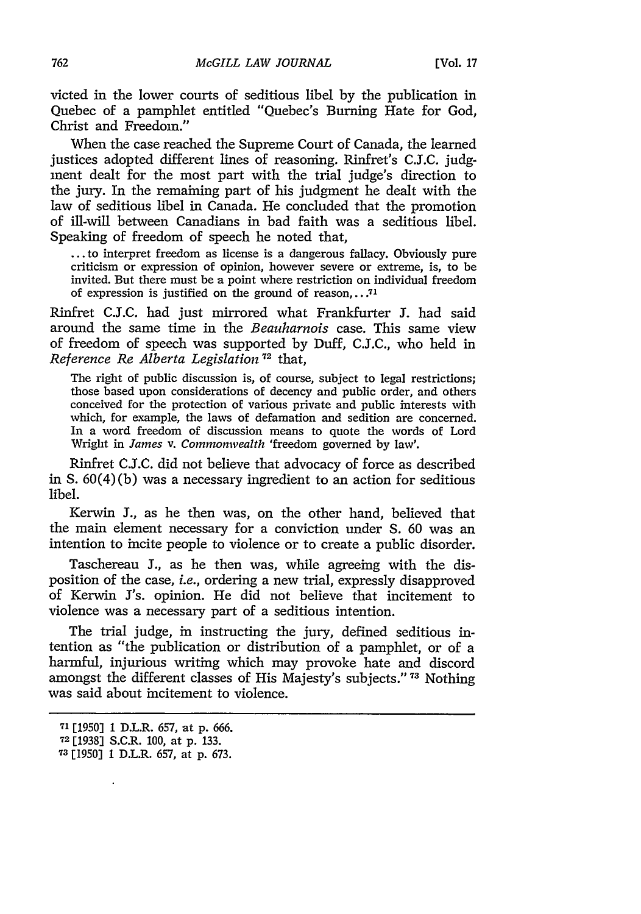victed in the lower courts of seditious libel by the publication in Quebec of a pamphlet entitled "Quebec's Burning Hate for God, Christ and Freedom."

When the case reached the Supreme Court of Canada, the learned justices adopted different lines of reasoning. Rinfret's C.J.C. judgment dealt for the most part with the trial judge's direction to the jury. In the remaining part of his judgment he dealt with the law of seditious libel in Canada. He concluded that the promotion of ill-will between Canadians in bad faith was a seditious libel. Speaking of freedom of speech he noted that,

... to interpret freedom as license is a dangerous fallacy. Obviously pure criticism or expression of opinion, however severe or extreme, is, to be invited. But there must be a point where restriction on individual freedom of expression is justified on the ground of reason,... $71$ 

Rinfret C.J.C. had just mirrored what Frankfurter J. had said around the same time in the *Beauharnois* case. This same view of freedom of speech was supported by Duff, C.J.C., who held in *Reference Re Alberta Legislation* **72** that,

The right of public discussion is, of course, subject to legal restrictions; those based upon considerations of decency and public order, and others conceived for the protection of various private and public interests with which, for example, the laws of defamation and sedition are concerned. In a word freedom of discussion means to quote the words of Lord Wright in *James v. Commonwealth* 'freedom governed by law'.

Rinfret C.J.C. did not believe that advocacy of force as described in **S.** 60(4) (b) was a necessary ingredient to an action for seditious libel.

Kerwin J., as he then was, on the other hand, believed that the main element necessary for a conviction under **S.** 60 was an intention to incite people to violence or to create a public disorder.

Taschereau J., as he then was, while agreeing with the disposition of the case, *i.e.,* ordering a new trial, expressly disapproved of Kerwin J's. opinion. He did not believe that incitement to violence was a necessary part of a seditious intention.

The trial judge, in instructing the jury, defined seditious intention as "the publication or distribution of a pamphlet, or of a harmful, injurious writing which may provoke hate and discord amongst the different classes of His Majesty's subjects." **73** Nothing was said about incitement to violence.

**<sup>71</sup>**[1950] 1 D.L.R. 657, at p. 666.

**<sup>72</sup>**[1938] S.C.R. 100, at p. 133.

**<sup>73</sup>**[1950] 1 D.L.R. 657, at p. 673.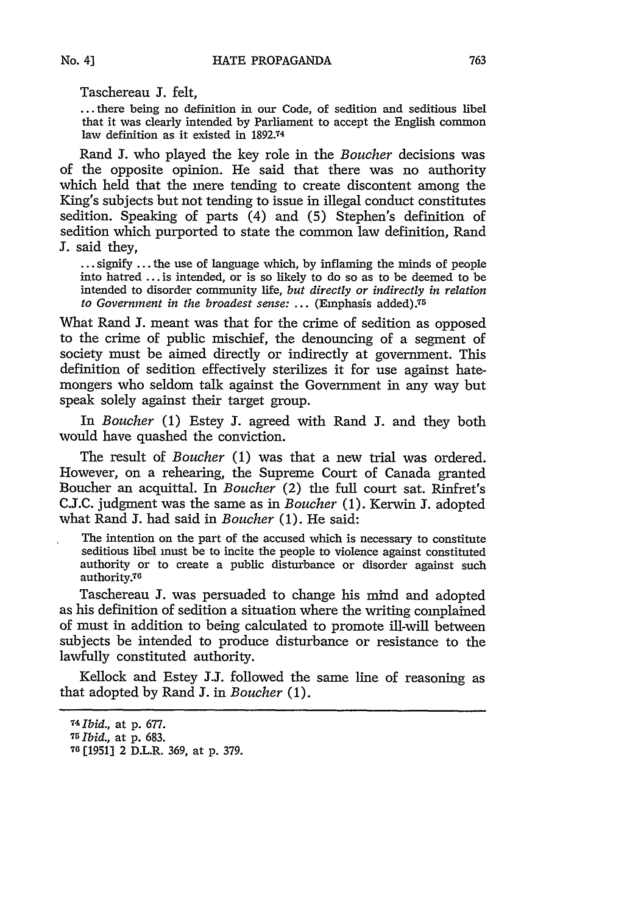Taschereau J. felt,

... there being no definition in our Code, of sedition and seditious libel that it was clearly intended by Parliament to accept the English common law definition as it existed in 1892.74

Rand **1.** who played the key role in the *Boucher* decisions was of the opposite opinion. He said that there was no authority which held that the mere tending to create discontent among the King's subjects but not tending to issue in illegal conduct constitutes sedition. Speaking of parts (4) and (5) Stephen's definition of sedition which purported to state the common law definition, Rand J. said they,

... signify ... the use of language which, by inflaming the minds of people into hatred **...** is intended, or is so likely to do so as to be deemed to be intended to disorder community life, *but directly or indirectly in relation to Government in the broadest sense:* ... (Emphasis added).75

What Rand J. meant was that for the crime of sedition as opposed to the crime of public mischief, the denouncing of a segment of society must be aimed directly or indirectly at government. This definition of sedition effectively sterilizes it for use against hatemongers who seldom talk against the Government in any way but speak solely against their target group.

In *Boucher* (1) Estey J. agreed with Rand J. and they both would have quashed the conviction.

The result of *Boucher* (1) was that a new trial was ordered. However, on a rehearing, the Supreme Court of Canada granted Boucher an acquittal. In *Boucher* (2) the full court sat. Rinfret's C.J.C. judgment was the same as in *Boucher* (1). Kerwin J. adopted what Rand **J.** had said in *Boucher* (1). He said:

The intention on the part of the accused which is necessary to constitute seditious libel must be to incite the people to violence against constituted authority or to create a public disturbance or disorder against such authority.<sup>76</sup>

Taschereau **J.** was persuaded to change his mind and adopted as his definition of sedition a situation where the writing complained of must in addition to being calculated to promote ill-will between subjects be intended to produce disturbance or resistance to the lawfully constituted authority.

Kellock and Estey **J.J.** followed the same line of reasoning as that adopted by Rand **J.** in *Boucher (1).*

**<sup>74</sup>***Ibid.,* at p. 677. **<sup>75</sup>***Ibid.,* at p. 683.

**<sup>76 [1951]</sup>** 2 D.L.R. 369, at p. 379.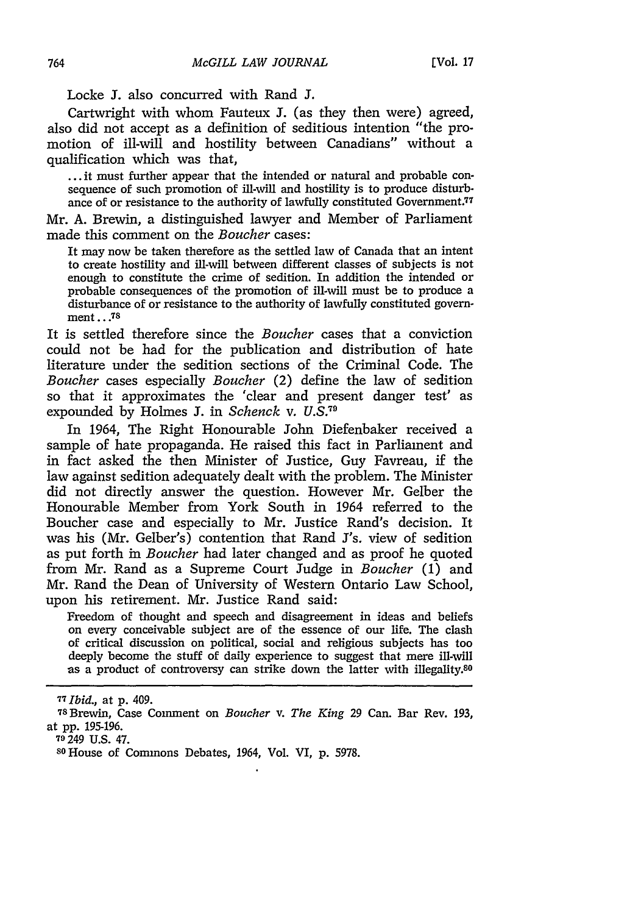Locke J. also concurred with Rand J.

Cartwright with whom Fauteux **J.** (as they then were) agreed, also did not accept as a definition of seditious intention "the promotion of ill-will and hostility between Canadians" without a qualification which was that,

**...** it must further appear that the intended or natural and probable consequence of such promotion of ill-will and hostility is to produce disturbance of or resistance to the authority of lawfully constituted Government.<sup>77</sup>

Mr. A. Brewin, a distinguished lawyer and Member of Parliament made this comment on the *Boucher* cases:

It may now be taken therefore as the settled law of Canada that an intent to create hostility and ill-will between different classes of subjects is not enough to constitute the crime of sedition. In addition the intended or probable consequences of the promotion of ill-will must be to produce a disturbance of or resistance to the authority of lawfully constituted government.. **.s**

It is settled therefore since the *Boucher* cases that a conviction could not be had for the publication and distribution of hate literature under the sedition sections of the Criminal Code. The *Boucher* cases especially *Boucher* (2) define the law of sedition so that it approximates the 'clear and present danger test' as expounded by Holmes **J.** in *Schenck* v. *U.S <sup>7</sup> <sup>9</sup>*

In 1964, The Right Honourable John Diefenbaker received a sample of hate propaganda. He raised this fact in Parliament and in fact asked the then Minister of Justice, Guy Favreau, if the law against sedition adequately dealt with the problem. The Minister did not directly answer the question. However Mr. Gelber the Honourable Member from York South in 1964 referred to the Boucher case and especially to Mr. Justice Rand's decision. It was his (Mr. Gelber's) contention that Rand J's. view of sedition as put forth in *Boucher* had later changed and as proof he quoted from Mr. Rand as a Supreme Court Judge in *Boucher* (1) and Mr. Rand the Dean of University of Western Ontario Law School, upon his retirement. Mr. Justice Rand said:

Freedom of thought and speech and disagreement in ideas and beliefs on every conceivable subject are of the essence of our life. The clash of critical discussion on political, social and religious subjects has too deeply become the stuff of daily experience to suggest that mere ill-will as a product of controversy can strike down the latter with illegality. $80$ 

*<sup>77</sup>Ibid.,* at p. 409.

<sup>78</sup>Brewin, Case Comment on *Boucher v. The King* 29 Can. Bar Rev. 193, at pp. 195-196.

**<sup>79</sup>** 249 U.S. 47.

**so** House of Commons Debates, 1964, Vol. VI, p. 5978.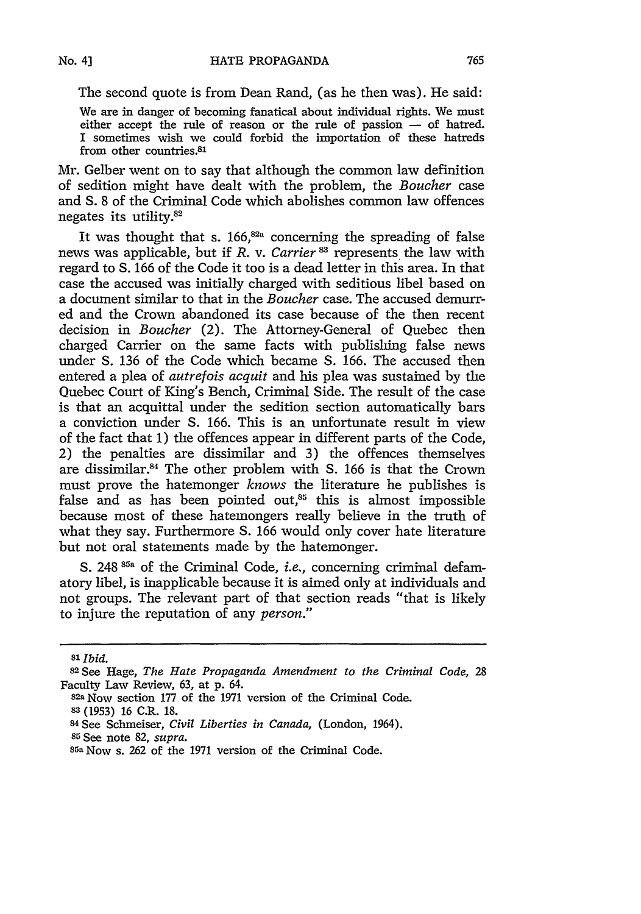The second quote is from Dean Rand, (as he then was). He said:

We are in danger of becoming fanatical about individual rights. We must either accept the rule of reason or the rule of passion  $-$  of hatred. I sometimes wish we could forbid the importation of these hatreds from other countries.<sup>81</sup>

Mr. Gelber went on to say that although the common law definition of sedition might have dealt with the problem, the *Boucher* case and S. 8 of the Criminal Code which abolishes common law offences negates its utility.<sup>82</sup>

It was thought that s.  $166$ ,<sup>82a</sup> concerning the spreading of false news was applicable, but if *R.* v. *Carrier 83* represents the law with regard to S. **166** of the Code it too is a dead letter in this area. In that case the accused was initially charged with seditious libel based on a document similar to that in the *Boucher* case. The accused demurred and the Crown abandoned its case because of the then recent decision in *Boucher* (2). The Attorney-General of Quebec then charged Carrier on the same facts with publishing false news under **S.** 136 of the Code which became S. 166. The accused then entered a plea of *autrefois acquit* and his plea was sustained by the Quebec Court of King's Bench, Criminal Side. The result of the case is that an acquittal under the sedition section automatically bars a conviction under S. 166. This is an unfortunate result in view of the fact that 1) the offences appear in different parts of the Code, 2) the penalties are dissimilar and 3) the offences themselves are dissimilar.<sup>84</sup> The other problem with S. 166 is that the Crown must prove the hatemonger *knows* the literature he publishes is false and as has been pointed out, $85$  this is almost impossible because most of these hatemongers really believe in the truth of what they say. Furthermore **S.** 166 would only cover hate literature but not oral statements made by the hatemonger.

S. 248 **8a** of the Criminal Code, *i.e.,* concerning criminal defamatory libel, is inapplicable because it is aimed only at individuals and not groups. The relevant part of that section reads "that is likely to injure the reputation of any *person."*

**84See** Schmeiser, *Civil Liberties in Canada,* (London, 1964).

**<sup>85</sup>**See note 82, *supra.*

*<sup>81</sup>Ibid.*

**<sup>82</sup>See** Hage, *The Hate Propaganda Amendment to the Criminal Code,* 28 Faculty Law Review, 63, at p. 64.

**<sup>82</sup>a** Now section 177 of the 1971 version of the Criminal Code. **83 (1953) 16** C.R. **18.**

**ssa** Now s. 262 of the 1971 version of the Criminal Code.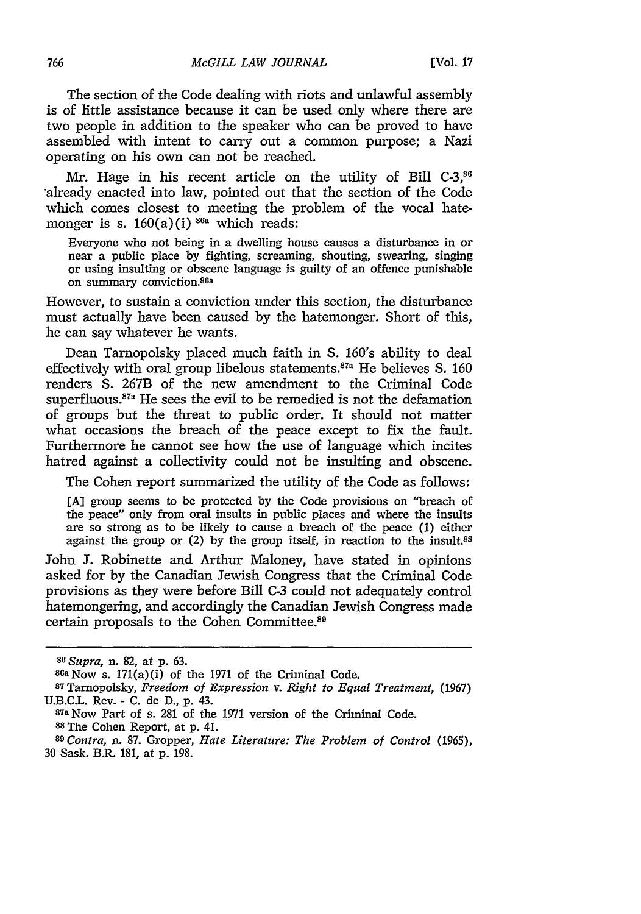The section of the Code dealing with riots and unlawful assembly is of little assistance because it can be used only where there are two people in addition to the speaker who can be proved to have assembled with intent to carry out a common purpose; a Nazi operating on his own can not be reached.

Mr. Hage in his recent article on the utility of Bill  $C-3$ ,  $80$ .already enacted into law, pointed out that the section of the Code which comes closest to meeting the problem of the vocal hatemonger is s.  $160(a)(i)$  <sup>86a</sup> which reads:

Everyone who not being in a dwelling house causes a disturbance in or near a public place by fighting, screaming, shouting, swearing, singing or using insulting or obscene language is guilty of an offence punishable on summary conviction.<sup>86a</sup>

However, to sustain a conviction under this section, the disturbance must actually have been caused by the hatemonger. Short of this, he can say whatever he wants.

Dean Tarnopolsky placed much faith in S. 160's ability to deal effectively with oral group libelous statements. $87a$  He believes S. 160 renders S. 267B of the new amendment to the Criminal Code superfluous. $87a$  He sees the evil to be remedied is not the defamation of groups but the threat to public order. It should not matter what occasions the breach of the peace except to fix the fault. Furthermore he cannot see how the use of language which incites hatred against a collectivity could not be insulting and obscene.

The Cohen report summarized the utility of the Code as follows:

[A] group seems to be protected by the Code provisions on "breach of the peace" only from oral insults in public places and where the insults are so strong as to be likely to cause a breach of the peace (1) either against the group or (2) by the group itself, in reaction to the insult.<sup>88</sup>

John J. Robinette and Arthur Maloney, have stated in opinions asked for by the Canadian Jewish Congress that the Criminal Code provisions as they were before Bill C-3 could not adequately control hatemongering, and accordingly the Canadian Jewish Congress made certain proposals to the Cohen Committee.<sup>80</sup>

*<sup>8</sup> 6 Supra,* n. 82, at **p. 63.**

 $86a$  Now s. 171(a)(i) of the 1971 of the Criminal Code.

s <sup>7</sup> Tarnopolsky, *Freedom of Expression v. Right to Equal Treatment,* (1967) U.B.C.L. Rev. - C. de D., p. 43.

<sup>87</sup>a Now Part of s. 281 of the 1971 version of the Criminal Code. **<sup>88</sup>**The Cohen Report, at p. 41.

*<sup>89</sup>Contra,* n. 87. Gropper, *Hate Literature: The Problem of Control* (1965), **30** Sask. B.R. 181, at p. 198.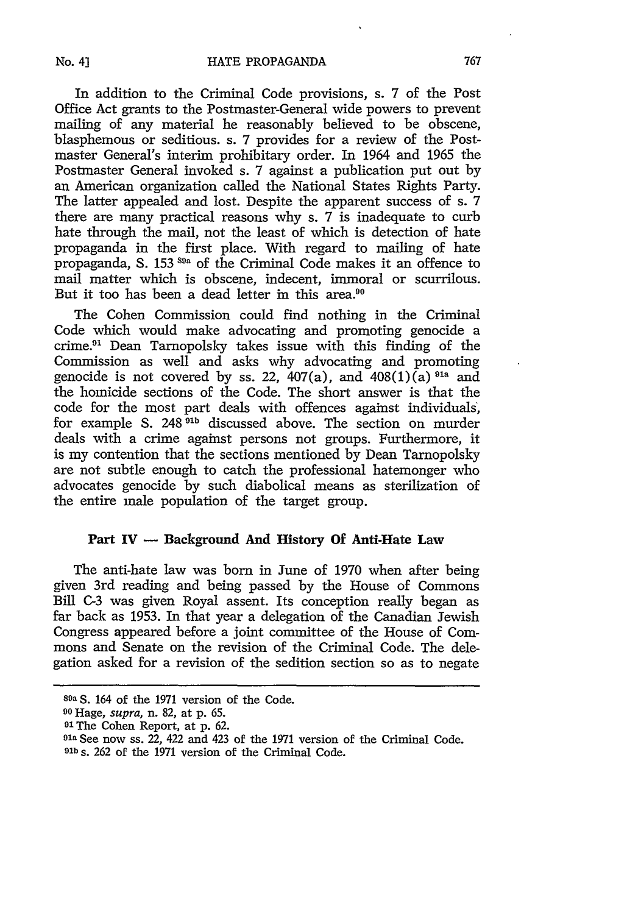In addition to the Criminal Code provisions, s. 7 of the Post Office Act grants to the Postmaster-General wide powers to prevent mailing of any material he reasonably believed to be obscene, blasphemous or seditious. s. 7 provides for a review of the Postmaster General's interim prohibitary order. In 1964 and 1965 the Postmaster General invoked s. 7 against a publication put out by an American organization called the National States Rights Party. The latter appealed and lost. Despite the apparent success of s. 7 there are many practical reasons why s. 7 is inadequate to curb hate through the mail, not the least of which is detection of hate propaganda in the first place. With regard to mailing of hate propaganda, S. 153 **S9a** of the Criminal Code makes it an offence to mail matter which is obscene, indecent, immoral or scurrilous. But it too has been a dead letter in this area.<sup>90</sup>

The Cohen Commission could find nothing in the Criminal Code which would make advocating and promoting genocide a crime.<sup>91</sup> Dean Tarnopolsky takes issue with this finding of the Commission as well and asks why advocating and promoting genocide is not covered by ss. 22,  $407(a)$ , and  $408(1)(a)$ <sup>91a</sup> and the homicide sections of the Code. The short answer is that the code for the most part deals with offences against individuals, for example **S.** 248 **91b** discussed above. The section on murder deals with a crime against persons not groups. Furthermore, it is my contention that the sections mentioned by Dean Tarnopolsky are not subtle enough to catch the professional hatemonger who advocates genocide by such diabolical means as sterilization of the entire male population of the target group.

## **Part IV -** Background **And History Of Anti-Hate Law**

The anti-hate law was born in June of 1970 when after being given 3rd reading and being passed by the House of Commons Bill C-3 was given Royal assent. Its conception really began as far back as 1953. In that year a delegation of the Canadian Jewish Congress appeared before a joint committee of the House of Commons and Senate on the revision of the Criminal Code. The delegation asked for a revision of the sedition section so as to negate

**<sup>89</sup>a S.** 164 of the 1971 version of the Code. **<sup>90</sup>**Hage, *supra,* n. 82, at p. 65. **<sup>01</sup>**The Cohen Report, at p. 62. **91a** See now ss. 22, 422 and 423 of the 1971 version of the Criminal Code.

**<sup>91</sup>b** s. 262 of the 1971 version of the Criminal Code.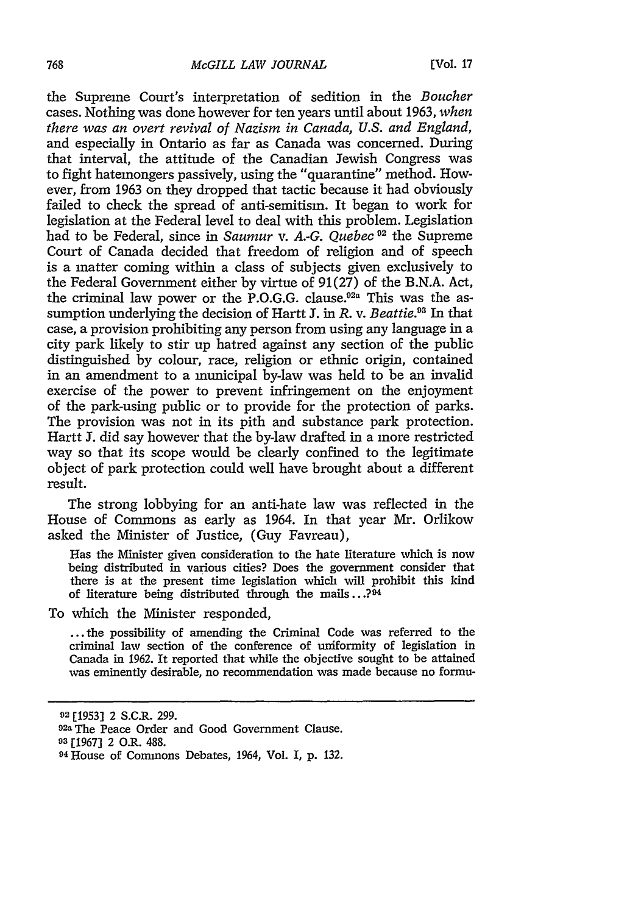the Supreme Court's interpretation of sedition in the *Boucher* cases. Nothing was done however for ten years until about 1963, *when there was an overt revival of Nazism in Canada, U.S. and England,* and especially in Ontario as far as Canada was concerned. During that interval, the attitude of the Canadian Jewish Congress was to fight hatemongers passively, using the "quarantine" method. However, from 1963 on they dropped that tactic because it had obviously failed to check the spread of anti-semitism. It began to work for legislation at the Federal level to deal with this problem. Legislation had to be Federal, since in *Saumur v. A.-G. Quebec* <sup>92</sup> the Supreme Court of Canada decided that freedom of religion and of speech is a matter coming within a class of subjects given exclusively to the Federal Government either by virtue of 91(27) of the B.N.A. Act, the criminal law power or the P.O.G.G. clause.<sup>92a</sup> This was the assumption underlying the decision of Hartt J. in *R.* v. *Beattie.93* In that case, a provision prohibiting any person from using any language in a city park likely to stir up hatred against any section of the public distinguished by colour, race, religion or ethnic origin, contained in an amendment to a municipal by-law was held to be an invalid exercise of the power to prevent infringement on the enjoyment of the park-using public or to provide for the protection of parks. The provision was not in its pith and substance park protection. Hartt **J.** did say however that the by-law drafted in a more restricted way so that its scope would be clearly confined to the legitimate object of park protection could well have brought about a different result.

The strong lobbying for an anti-hate law was reflected in the House of Commons as early as 1964. In that year Mr. Orlikow asked the Minister of Justice, (Guy Favreau),

Has the Minister given consideration to the hate literature which is now being distributed in various cities? Does the government consider that there is at the present time legislation which will prohibit this kind of literature being distributed through the mails ... ?94

To which the Minister responded,

... the possibility of amending the Criminal Code was referred to the criminal law section of the conference of uniformity of legislation in Canada in 1962. It reported that while the objective sought to be attained was eminently desirable, no recommendation was made because no formu-

**<sup>92</sup>** [1953] 2 S.C.R. 299.

<sup>92</sup>a The Peace Order and Good Government Clause.

**<sup>93</sup>** [1967] 2 O.R. 488.

**<sup>94</sup>**House of Commons Debates, 1964, Vol. I, p. 132.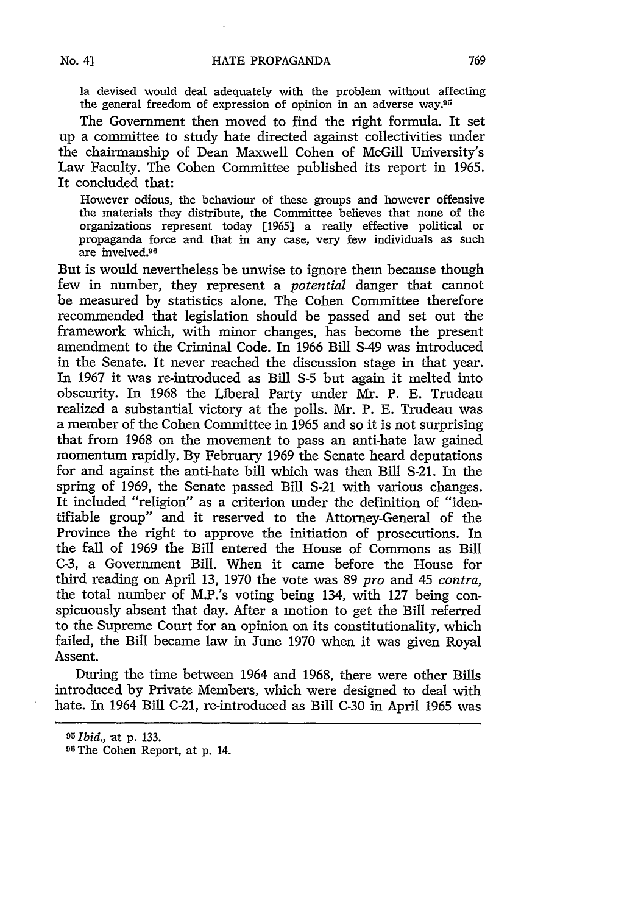la devised would deal adequately with the problem without affecting the general freedom of expression of opinion in an adverse way.<sup>95</sup>

The Government then moved to find the right formula. It set up a committee to study hate directed against collectivities under the chairmanship of Dean Maxwell Cohen of McGill University's Law Faculty. The Cohen Committee published its report in 1965. It concluded that:

However odious, the behaviour of these groups and however offensive the materials they distribute, the Committee believes that none of the organizations represent today [1965] a really effective political or propaganda force and that in any case, very few individuals as such are invelved.P6

But is would nevertheless be unwise to ignore them because though few in number, they represent a *potential* danger that cannot be measured by statistics alone. The Cohen Committee therefore recommended that legislation should be passed and set out the framework which, with minor changes, has become the present amendment to the Criminal Code. In 1966 Bill S-49 was introduced in the Senate. It never reached the discussion stage in that year. In 1967 it was re-introduced as Bill **S-5** but again it melted into obscurity. In 1968 the Liberal Party under Mr. P. E. Trudeau realized a substantial victory at the polls. Mr. P. E. Trudeau was a member of the Cohen Committee in 1965 and so it is not surprising that from 1968 on the movement to pass an anti-hate law gained momentum rapidly. By February 1969 the Senate heard deputations for and against the anti-hate bill which was then Bill S-21. In the spring of 1969, the Senate passed Bill S-21 with various changes. It included "religion" as a criterion under the definition of "identifiable group" and it reserved to the Attorney-General of the Province the right to approve the initiation of prosecutions. In the fall of 1969 the Bill entered the House of Commons as Bill C-3, a Government Bill. When it came before the House for third reading on April 13, 1970 the vote was 89 *pro* and 45 *contra,* the total number of M.P.'s voting being 134, with 127 being conspicuously absent that day. After a motion to get the Bill referred to the Supreme Court for an opinion on its constitutionality, which failed, the Bill became law in June 1970 when it was given Royal Assent.

During the time between 1964 and 1968, there were other Bills introduced by Private Members, which were designed to deal with hate. In 1964 Bill C-21, re-introduced as Bill C-30 in April 1965 was

*<sup>95</sup>Ibid.,* at p. 133.

**<sup>96</sup>**The Cohen Report, at p. 14.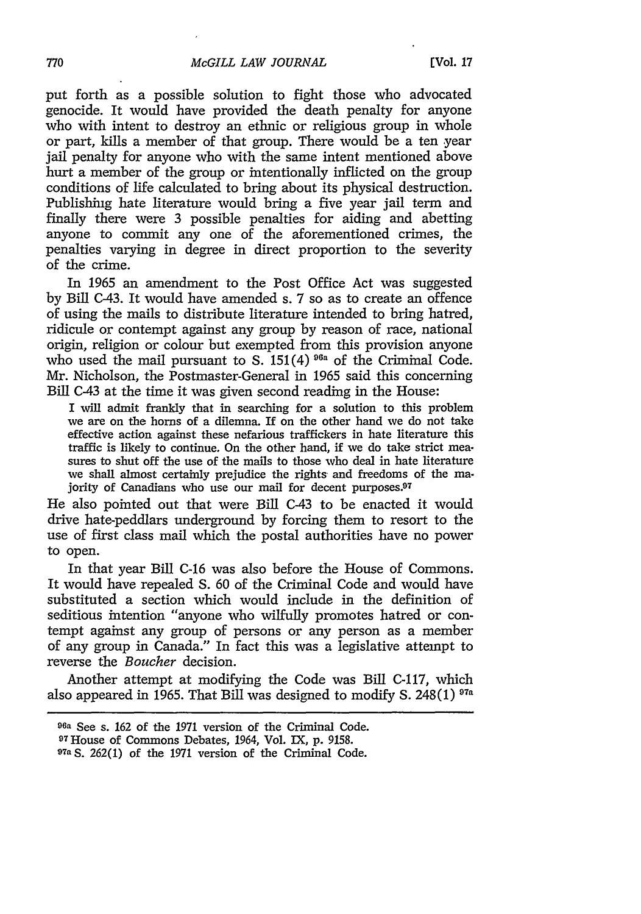put forth as a possible solution to fight those who advocated genocide. It would have provided the death penalty for anyone who with intent to destroy an ethnic or religious group in whole or part, kills a member of that group. There would be a ten 'year jail penalty for anyone who with the same intent mentioned above hurt a member of the group or intentionally inflicted on the group conditions of life calculated to bring about its physical destruction. Publishing hate literature would bring a five year jail term and finally there were 3 possible penalties for aiding and abetting anyone to commit any one of the aforementioned crimes, the penalties varying in degree in direct proportion to the severity of the crime.

In 1965 an amendment to the Post Office Act was suggested by Bill C-43. It would have amended s. 7 so as to create an offence of using the mails to distribute literature intended to bring hatred, ridicule or contempt against any group by reason of race, national origin, religion or colour but exempted from this provision anyone who used the mail pursuant to S. 151(4) **96a** of the Criminal Code. Mr. Nicholson, the Postmaster-General in 1965 said this concerning Bill C-43 at the time it was given second reading in the House:

I will admit frankly that in searching for a solution to this problem we are on the horns of a dilemna. If on the other hand we do not take effective action against these nefarious traffickers in hate literature this traffic is likely to continue. On the other hand, if we do take strict measures to shut off the use of the mails to those who deal in hate literature we shall almost certainly prejudice the rights and freedoms of the majority of Canadians who use our mail for decent purposes.<sup>97</sup>

He also pointed out that were Bill C-43 to be enacted it would drive hate-peddlars underground by forcing them to resort to the use of first class mail which the postal authorities have no power to open.

In that year Bill C-16 was also before the House of Commons. It would have repealed S. 60 of the Criminal Code and would have substituted a section which would include in the definition of seditious intention "anyone who wilfully promotes hatred or contempt against any group of persons or any person as a member of any group in Canada." In fact this was a legislative attempt to reverse the *Boucher* decision.

Another attempt at modifying the Code was Bill C-117, which also appeared in 1965. That Bill was designed to modify S. 248(1)  $97a$ 

**<sup>96</sup>a** See s. 162 of the 1971 version of the Criminal Code.

<sup>97</sup>House of Commons Debates, 1964, Vol. IX, p. 9158.

**<sup>97</sup>a** S. 262(1) of the 1971 version of the Criminal Code.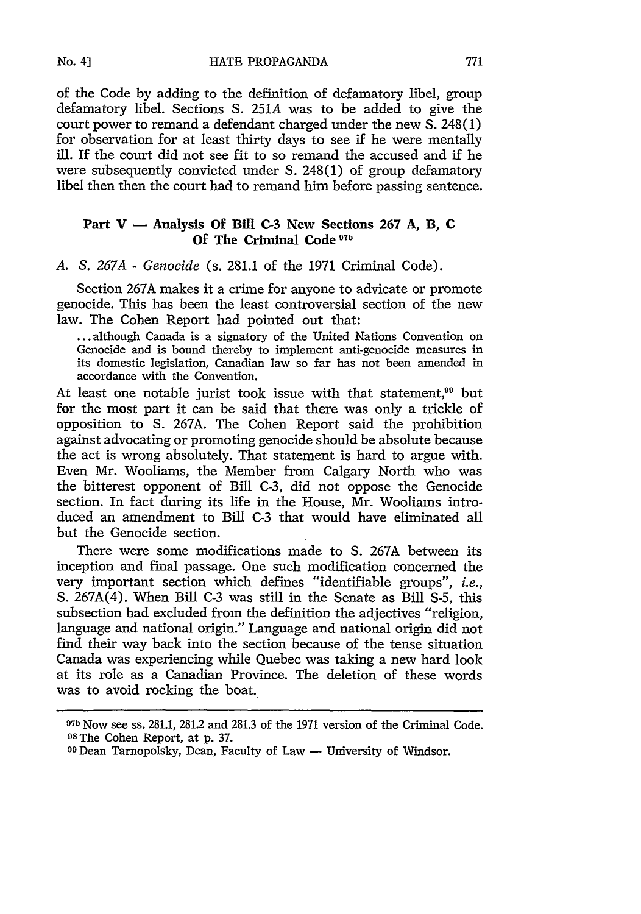of the Code by adding to the definition of defamatory libel, group defamatory libel. Sections S. 251A was to be added to give the court power to remand a defendant charged under the new S. 248(1) for observation for at least thirty days to see if he were mentally ill. If the court did not see fit to so remand the accused and if he were subsequently convicted under S. 248(1) of group defamatory libel then then the court had to remand him before passing sentence.

## Part **V - Analysis Of Bill C-3 New Sections 267 A, B, C Of** The Criminal Code **97b**

#### *A. S. 267A* - *Genocide* (s. 281.1 of the 1971 Criminal Code).

Section 267A makes it a crime for anyone to advicate or promote genocide. This has been the least controversial section of the new law. The Cohen Report had pointed out that:

... although Canada is a signatory of the United Nations Convention on Genocide and is bound thereby to implement anti-genocide measures in its domestic legislation, Canadian law so far has not been amended in accordance with the Convention.

At least one notable jurist took issue with that statement,<sup>99</sup> but for the most part it can be said that there was only a trickle of opposition to S. 267A. The Cohen Report said the prohibition against advocating or promoting genocide should be absolute because the act is wrong absolutely. That statement is hard to argue with. Even Mr. Wooliams, the Member from Calgary North who was the bitterest opponent of Bill C-3, did not oppose the Genocide section. In fact during its life in the House, Mr. Wooliams introduced an amendment to Bill C-3 that would have eliminated all but the Genocide section.

There were some modifications made to S. 267A between its inception and final passage. One such modification concerned the very important section which defines "identifiable groups", i.e., S. 267A(4). When Bill C-3 was still in the Senate as Bill S-5, this subsection had excluded from the definition the adjectives "religion, language and national origin." Language and national origin did not find their way back into the section because of the tense situation Canada was experiencing while Quebec was taking a new hard look at its role as a Canadian Province. The deletion of these words was to avoid rocking the boat.

<sup>97</sup>bNow see ss. **281.1, 281.2** and **281.3** of the **1971** version of the Criminal Code. <sup>98</sup> The Cohen Report, at p. 37.<br><sup>99</sup> Dean Tarnopolsky, Dean, Faculty of Law — University of Windsor.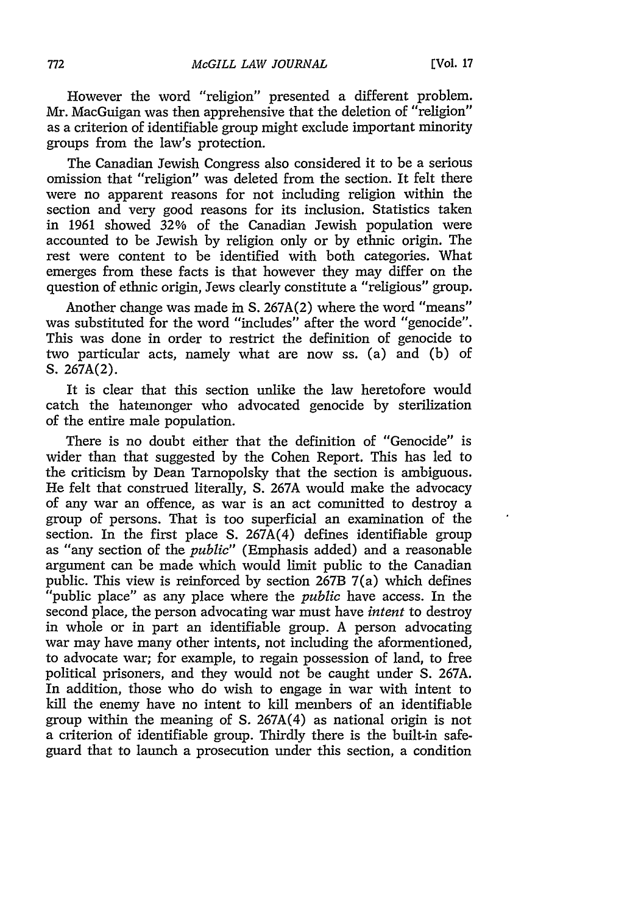However the word "religion" presented a different problem. Mr. MacGuigan was then apprehensive that the deletion of "religion" as a criterion of identifiable group might exclude important minority groups from the law's protection.

The Canadian Jewish Congress also considered it to be a serious omission that "religion" was deleted from the section. It felt there were no apparent reasons for not including religion within the section and very good reasons for its inclusion. Statistics taken in 1961 showed 32% of the Canadian Jewish population were accounted to be Jewish by religion only or by ethnic origin. The rest were content to be identified with both categories. What emerges from these facts is that however they may differ on the question of ethnic origin, Jews clearly constitute a "religious" group.

Another change was made in S. 267A(2) where the word "means" was substituted for the word "includes" after the word "genocide". This was done in order to restrict the definition of genocide to two particular acts, namely what are now ss. (a) and (b) of S. 267A(2).

It is clear that this section unlike the law heretofore would catch the hatemonger who advocated genocide by sterilization of the entire male population.

There is no doubt either that the definition of "Genocide" is wider than that suggested by the Cohen Report. This has led to the criticism by Dean Tarnopolsky that the section is ambiguous. He felt that construed literally, S. 267A would make the advocacy of any war an offence, as war is an act committed to destroy a group of persons. That is too superficial an examination of the section. In the first place S. 267A(4) defines identifiable group as "any section of the *public"* (Emphasis added) and a reasonable argument can be made which would limit public to the Canadian public. This view is reinforced by section 267B 7(a) which defines "public place" as any place where the *public* have access. In the second place, the person advocating war must have *intent* to destroy in whole or in part an identifiable group. A person advocating war may have many other intents, not including the aformentioned, to advocate war; for example, to regain possession of land, to free political prisoners, and they would not be caught under S. 267A. In addition, those who do wish to engage in war with intent to kill the enemy have no intent to kill members of an identifiable group within the meaning of S. 267A(4) as national origin is not a criterion of identifiable group. Thirdly there is the built-in safeguard that to launch a prosecution under this section, a condition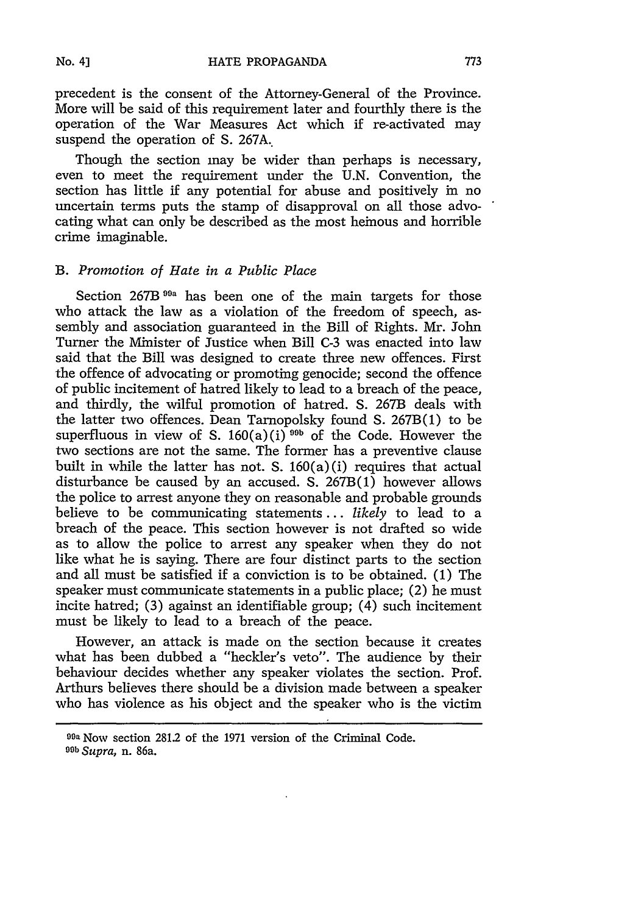precedent is the consent of the Attorney-General of the Province. More will be said of this requirement later and fourthly there is the operation of the War Measures Act which if re-activated may suspend the operation of S. 267A.

Though the section may be wider than perhaps is necessary, even to meet the requirement under the U.N. Convention, the section has little if any potential for abuse and positively in no uncertain terms puts the stamp of disapproval on all those advocating what can only be described as the most heinous and horrible crime imaginable.

## *B. Promotion of Hate in a Public Place*

Section 267B **99a** has been one of the main targets for those who attack the law as a violation of the freedom of speech, assembly and association guaranteed in the Bill of Rights. Mr. John Turner the Minister of Justice when Bill **C-3** was enacted into law said that the Bill was designed to create three new offences. First the offence of advocating or promoting genocide; second the offence of public incitement of hatred likely to lead to a breach of the peace, and thirdly, the wilful promotion of hatred. S. 267B deals with the latter two offences. Dean Tarnopolsky found S. 267B(1) to be superfluous in view of S. 160(a) (i) **99b** of the Code. However the two sections are not the same. The former has a preventive clause built in while the latter has not. S.  $160(a)(i)$  requires that actual disturbance be caused by an accused. S.  $267B(1)$  however allows the police to arrest anyone they on reasonable and probable grounds believe to be communicating statements **...** *likely* to lead to a breach of the peace. This section however is not drafted so wide as to allow the police to arrest any speaker when they do not like what he is saying. There are four distinct parts to the section and all must be satisfied if a conviction is to be obtained. (1) The speaker must communicate statements in a public place; (2) he must incite hatred; (3) against an identifiable group; (4) such incitement must be likely to lead to a breach of the peace.

However, an attack is made on the section because it creates what has been dubbed a "heckler's veto". The audience by their behaviour decides whether any speaker violates the section. Prof. Arthurs believes there should be a division made between a speaker who has violence as his object and the speaker who is the victim

**<sup>9</sup> a** Now section 281.2 of the 1971 version of the Criminal Code. *9Db Supra,* n. 86a.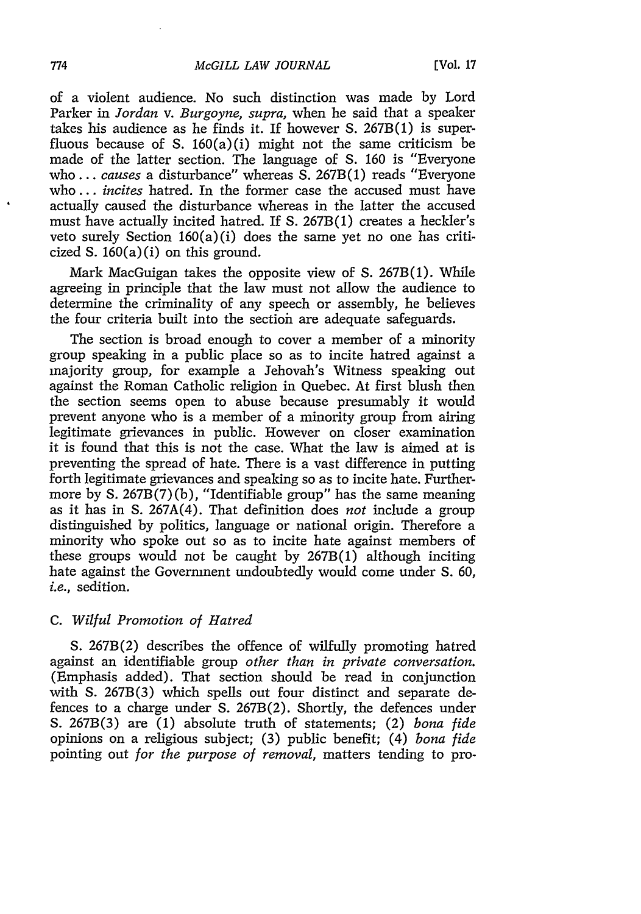of a violent audience. No such distinction was made by Lord Parker in *Jordan v. Burgoyne, supra,* when he said that a speaker takes his audience as he finds it. If however S. 267B(1) is superfluous because of S.  $160(a)(i)$  might not the same criticism be made of the latter section. The language of **S. 160** is "Everyone who **...** *causes* a disturbance" whereas S. 267B(1) reads "Everyone who.., *incites* hatred. In the former case the accused must have actually caused the disturbance whereas in the latter the accused must have actually incited hatred. If S. 267B(1) creates a heckler's veto surely Section 160(a)(i) does the same yet no one has criticized **S.** 160(a)(i) on this ground.

Mark MacGuigan takes the opposite view of S. 267B(1). While agreeing in principle that the law must not allow the audience to determine the criminality of any speech or assembly, he believes the four criteria built into the section are adequate safeguards.

The section is broad enough to cover a member of a minority group speaking in a public place so as to incite hatred against a majority group, for example a Jehovah's Witness speaking out against the Roman Catholic religion in Quebec. At first blush then the section seems open to abuse because presumably it would prevent anyone who is a member of a minority group from airing legitimate grievances in public. However on closer examination it is found that this is not the case. What the law is aimed at is preventing the spread of hate. There is a vast difference in putting forth legitimate grievances and speaking so as to incite hate. Furthermore by S.  $267B(7)(b)$ , "Identifiable group" has the same meaning as it has in S. 267A(4). That definition does *not* include a group distinguished by politics, language or national origin. Therefore a minority who spoke out so as to incite hate against members of these groups would not be caught by 267B(1) although inciting hate against the Government undoubtedly would come under **S.** *60, i.e.,* sedition.

### *C. Wilful Promotion of Hatred*

S. 267B(2) describes the offence of wilfully promoting hatred against an identifiable group *other than in private conversation.* (Emphasis added). That section should be read in conjunction with S. 267B(3) which spells out four distinct and separate defences to a charge under S. 267B(2). Shortly, the defences under S. 267B(3) are **(1)** absolute truth of statements; (2) *bona fide* opinions on a religious subject; (3) public benefit; (4) *bona fide* pointing out *for the purpose of removal,* matters tending to pro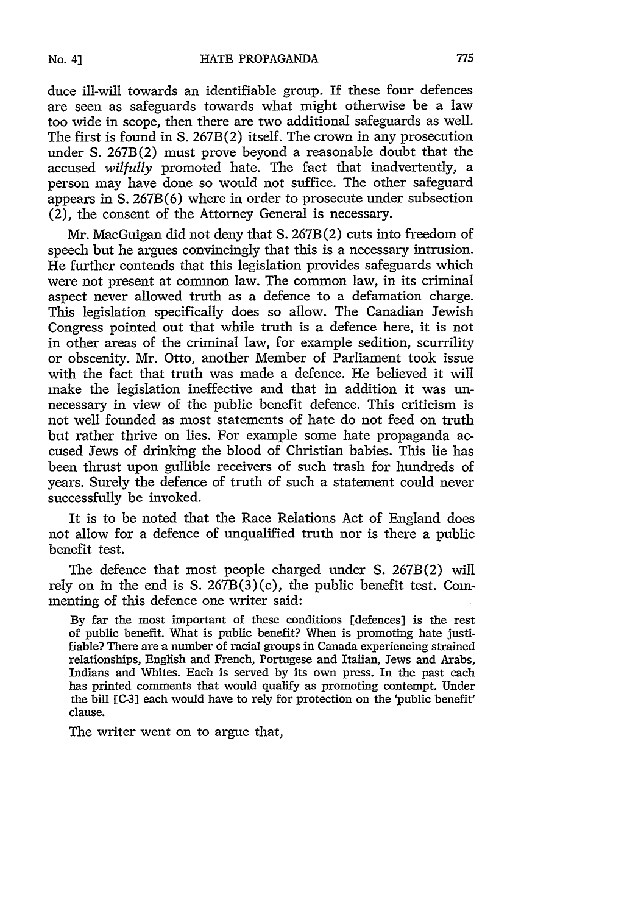duce ill-will towards an identifiable group. If these four defences are seen as safeguards towards what might otherwise be a law too wide in scope, then there are two additional safeguards as well. The first is found in S. 267B(2) itself. The crown in any prosecution under **S.** 267B(2) must prove beyond a reasonable doubt that the accused *wilfully* promoted hate. The fact that inadvertently, a person may have done so would not suffice. The other safeguard appears in S. 267B(6) where in order to prosecute under subsection (2), the consent of the Attorney General is necessary.

Mr. MacGuigan did not deny that S. 267B(2) cuts into freedom of speech but he argues convincingly that this is a necessary intrusion. He further contends that this legislation provides safeguards which were not present at common law. The common law, in its criminal aspect never allowed truth as a defence to a defamation charge. This legislation specifically does so allow. The Canadian Jewish Congress pointed out that while truth is a defence here, it is not in other areas of the criminal law, for example sedition, scurrility or obscenity. Mr. Otto, another Member of Parliament took issue with the fact that truth was made a defence. He believed it will make the legislation ineffective and that in addition it was unnecessary in view of the public benefit defence. This criticism is not well founded as most statements of hate do not feed on truth but rather thrive on lies. For example some hate propaganda accused Jews of drinking the blood of Christian babies. This lie has been thrust upon gullible receivers of such trash for hundreds of years. Surely the defence of truth of such a statement could never successfully be invoked.

It is to be noted that the Race Relations Act of England does not allow for a defence of unqualified truth nor is there a public benefit test.

The defence that most people charged under S. 267B(2) will rely on in the end is S.  $267B(3)(c)$ , the public benefit test. Commenting of this defence one writer said:

By far the most important of these conditions [defences] is the rest of public benefit. What is public benefit? When is promoting hate justifiable? There are a number of racial groups in Canada experiencing strained relationships, English and French, Portugese and Italian, Jews and Arabs, Indians and Whites. Each is served by its own press. In the past each has printed comments that would qualify as promoting contempt. Under the bill [C-3] each would have to rely for protection on the 'public benefit' clause.

The writer went on to argue that,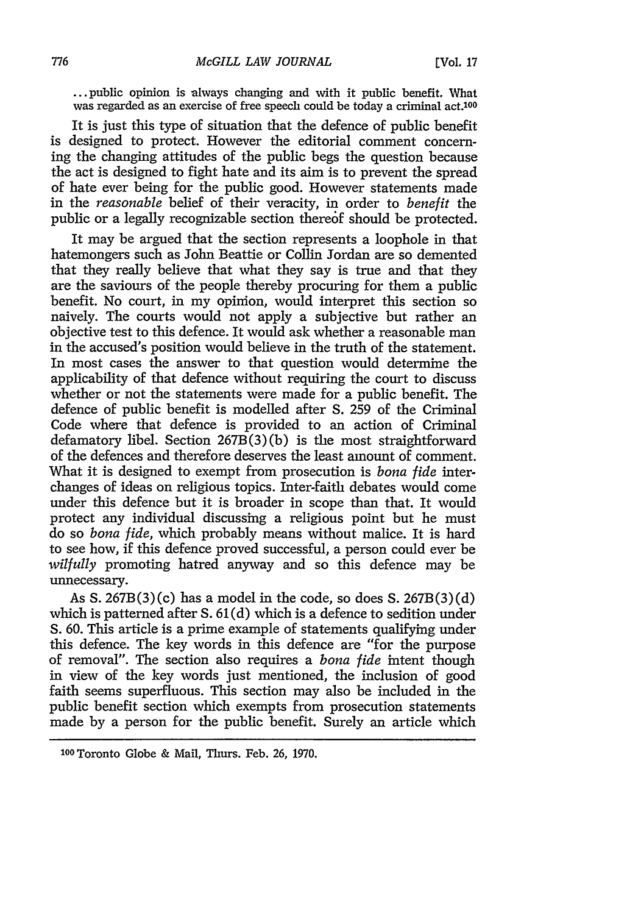**...** public opinion is always changing and with it public benefit. What was regarded as an exercise of free speech could be today a criminal act.<sup>100</sup>

It is just this type of situation that the defence of public benefit is designed to protect. However the editorial comment concerning the changing attitudes of the public begs the question because the act is designed to fight hate and its aim is to prevent the spread of hate ever being for the public good. However statements made in the *reasonable* belief of their veracity, in order to *benefit* the public or a legally recognizable section thereof should be protected.

It may be argued that the section represents a loophole in that hatemongers such as John Beattie or Collin Jordan are so demented that they really believe that what they say is true and that they are the saviours of the people thereby procuring for them a public benefit. No court, in my opinion, would interpret this section so naively. The courts would not apply a subjective but rather an objective test to this defence. It would ask whether a reasonable man in the accused's position would believe in the truth of the statement. In most cases the answer to that question would determine the applicability of that defence without requiring the court to discuss whether or not the statements were made for a public benefit. The defence of public benefit is modelled after S. 259 of the Criminal Code where that defence is provided to an action of Criminal defamatory libel. Section 267B(3)(b) is the most straightforward of the defences and therefore deserves the least amount of comment. What it is designed to exempt from prosecution is *bona fide* interchanges of ideas on religious topics. Inter-faith debates would come under this defence but it is broader in scope than that. It would protect any individual discussing a religious point but he must do so *bona fide,* which probably means without malice. It is hard to see how, if this defence proved successful, a person could ever be *wilfully* promoting hatred anyway and so this defence may be unnecessary.

As S.  $267B(3)(c)$  has a model in the code, so does S.  $267B(3)(d)$ which is patterned after S. 61(d) which is a defence to sedition under S. 60. This article is a prime example of statements qualifying under this defence. The key words in this defence are "for the purpose of removal". The section also requires a *bona fide* intent though in view of the key words just mentioned, the inclusion of good faith seems superfluous. This section may also be included in the public benefit section which exempts from prosecution statements made by a person for the public benefit. Surely an article which

**<sup>&</sup>quot;0** Toronto Globe & Mail, Thurs. Feb. 26, 1970.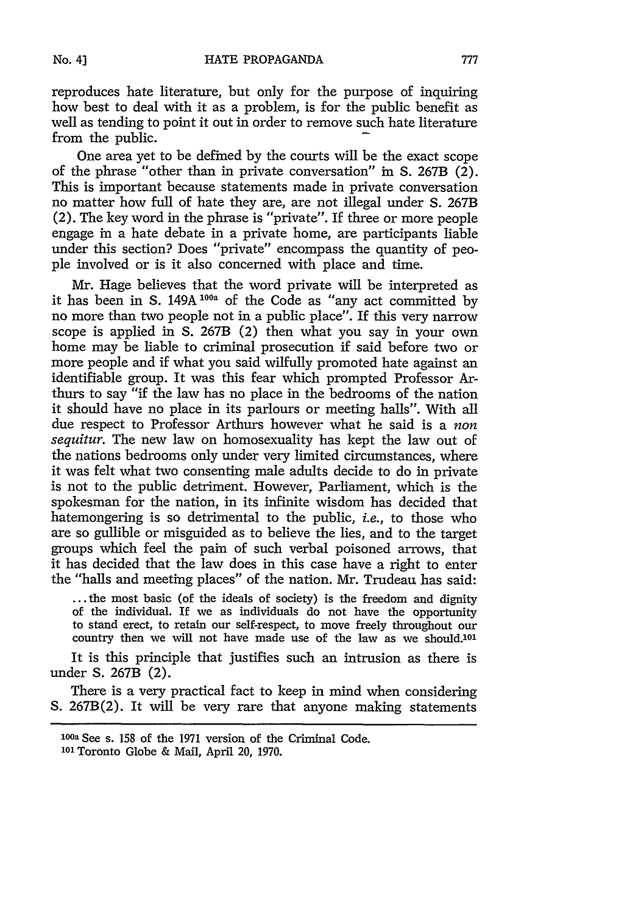reproduces hate literature, but only for the purpose of inquiring how best to deal with it as a problem, is for the public benefit as well as tending to point it out in order to remove such hate literature from the public.

One area yet to be defined by the courts will be the exact scope of the phrase "other than in private conversation" in S. 267B  $(2)$ . This is important because statements made in private conversation no matter how full of hate they are, are not illegal under S. 267B (2). The key word in the phrase is "private". If three or more people engage in a hate debate in a private home, are participants liable under this section? Does "private" encompass the quantity of people involved or is it also concerned with place and time.

Mr. Hage believes that the word private will be interpreted as it has been in S. 149A **I00a** of the Code as "any act committed by no more than two people not in a public place". If this very narrow scope is applied in S. 267B (2) then what you say in your own home may be liable to criminal prosecution if said before two or more people and if what you said wilfully promoted hate against an identifiable group. It was this fear which prompted Professor Arthurs to say "if the law has no place in the bedrooms of the nation it should have no place in its parlours or meeting halls". With all due respect to Professor Arthurs however what he said is a *non sequitur.* The new law on homosexuality has kept the law out of the nations bedrooms only under very limited circumstances, where it was felt what two consenting male adults decide to do in private is not to the public detriment. However, Parliament, which is the spokesman for the nation, in its infinite wisdom has decided that hatemongering is so detrimental to the public, *i.e.,* to those who are so gullible or misguided as to believe the lies, and to the target groups which feel the pain of such verbal poisoned arrows, that it has decided that the law does in this case have a right to enter the "halls and meeting places" of the nation. Mr. Trudeau has said:

**...** the most basic (of the ideals of society) is the freedom and dignity of the individual. If we as individuals do not have the opportunity to stand erect, to retain our self-respect, to move freely throughout our country then we will not have made use of the law as we should.101

It is this principle that justifies such an intrusion as there is under S. 267B (2).

There is a very practical fact to keep in mind when considering S. 267B(2). It will be very rare that anyone making statements

**<sup>100</sup>a** See s. 158 of the 1971 version of the Criminal Code. **<sup>101</sup>**Toronto Globe & Mail, April 20, 1970.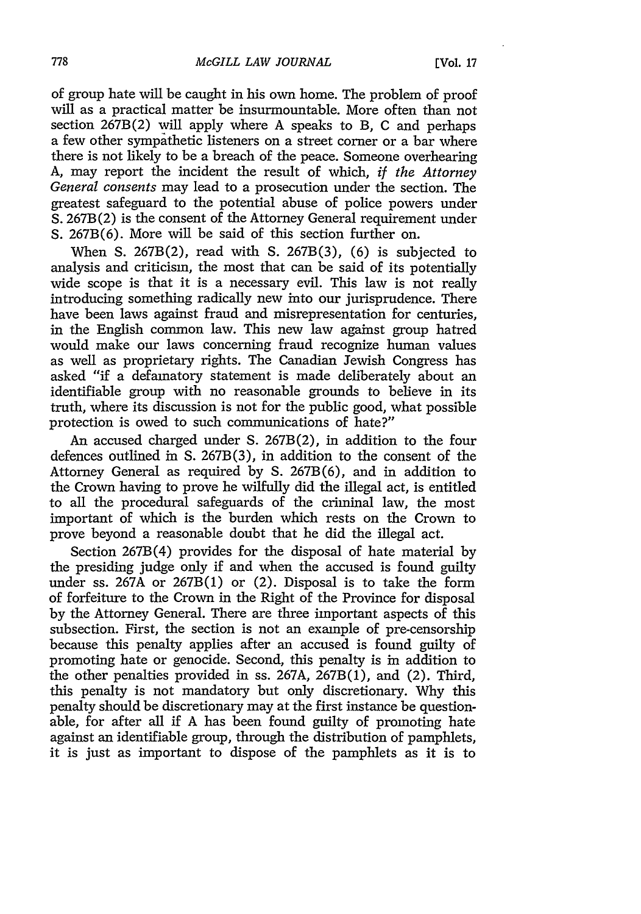of group hate will be caught in his own home. The problem of proof will as a practical matter be insurmountable. More often than not section 267B(2) will apply where A speaks to B, C and perhaps a few other sympathetic listeners on a street corner or a bar where there is not likely to be a breach of the peace. Someone overhearing A, may report the incident the result of which, *if the Attorney General consents* may lead to a prosecution under the section. The greatest safeguard to the potential abuse of police powers under S. 267B(2) is the consent of the Attorney General requirement under S. 267B(6). More will be said of this section further on.

When S. 267B $(2)$ , read with S. 267B $(3)$ ,  $(6)$  is subjected to analysis and criticism, the most that can be said of its potentially wide scope is that it is a necessary evil. This law is not really introducing something radically new into our jurisprudence. There have been laws against fraud and misrepresentation for centuries, in the English common law. This new law against group hatred would make our laws concerning fraud recognize human values as well as proprietary rights. The Canadian Jewish Congress has asked "if a defamatory statement is made deliberately about an identifiable group with no reasonable grounds to believe in its truth, where its discussion is not for the public good, what possible protection is owed to such communications of hate?"

An accused charged under S. 267B(2), in addition to the four defences outlined in S. 267B(3), in addition to the consent of the Attorney General as required by S. 267B(6), and in addition to the Crown having to prove he wilfully did the illegal act, is entitled to all the procedural safeguards of the criminal law, the most important of which is the burden which rests on the Crown to prove beyond a reasonable doubt that he did the illegal act.

Section 267B(4) provides for the disposal of hate material by the presiding judge only if and when the accused is found guilty under ss. 267A or 267B(1) or (2). Disposal is to take the form of forfeiture to the Crown in the Right of the Province for disposal by the Attorney General. There are three important aspects of this subsection. First, the section is not an example of pre-censorship because this penalty applies after an accused is found guilty of promoting hate or genocide. Second, this penalty is in addition to the other penalties provided in ss. 267A, 267B(1), and (2). Third, this penalty is not mandatory but only discretionary. Why this penalty should be discretionary may at the first instance be questionable, for after all if A has been found guilty of promoting hate against an identifiable group, through the distribution of pamphlets, it is just as important to dispose of the pamphlets as it is to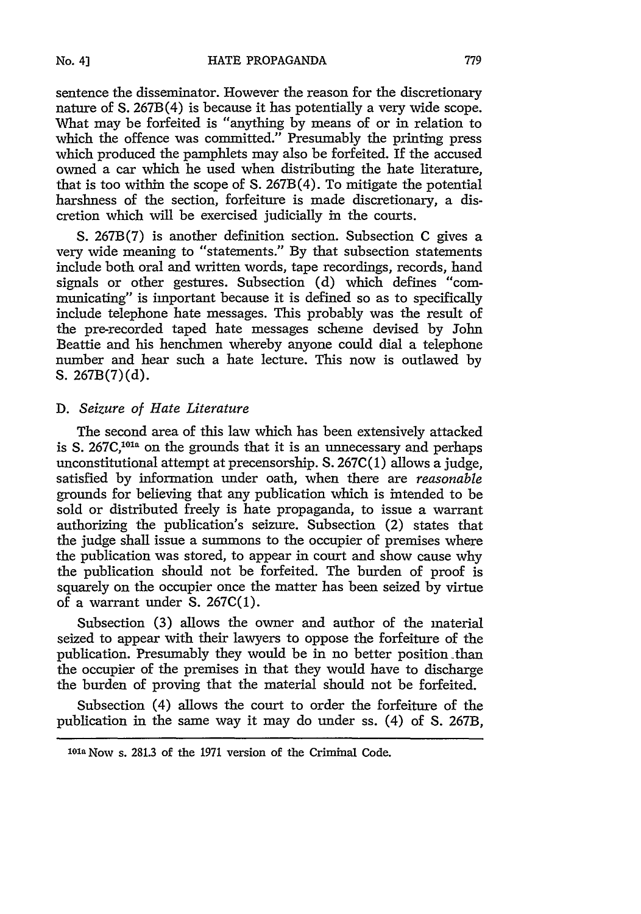sentence the disseminator. However the reason for the discretionary nature of S. 267B(4) is because it has potentially a very wide scope. What may be forfeited is "anything by means of or in relation to which the offence was committed." Presumably the printing press which produced the pamphlets may also be forfeited. If the accused owned a car which he used when distributing the hate literature, that is too within the scope of S. 267B(4). To mitigate the potential harshness of the section, forfeiture is made discretionary, a discretion which will be exercised judicially in the courts.

S. 267B(7) is another definition section. Subsection C gives a very wide meaning to "statements." By that subsection statements include both oral and written words, tape recordings, records, hand signals or other gestures. Subsection (d) which defines "communicating" is important because it is defined so as to specifically include telephone hate messages. This probably was the result of the pre-recorded taped hate messages scheme devised by John Beattie and his henchmen whereby anyone could dial a telephone number and hear such a hate lecture. This now is outlawed by S.  $267B(7)(d)$ .

## D. *Seizure of Hate Literature*

The second area of this law which has been extensively attacked is S. 267C,<sup>101a</sup> on the grounds that it is an unnecessary and perhaps unconstitutional attempt at precensorship. S. 267C(1) allows a judge, satisfied by information under oath, when there are *reasonable* grounds for believing that any publication which is intended to be sold or distributed freely is hate propaganda, to issue a warrant authorizing the publication's seizure. Subsection (2) states that the judge shall issue a summons to the occupier of premises where the publication was stored, to appear in court and show cause why the publication should not be forfeited. The burden of proof is squarely on the occupier once the matter has been seized by virtue of a warrant under S. 267C(1).

Subsection (3) allows the owner and author of the material seized to appear with their lawyers to oppose the forfeiture of the publication. Presumably they would be in no better position than the occupier of the premises in that they would have to discharge the burden of proving that the material should not be forfeited.

Subsection (4) allows the court to order the forfeiture of the publication in the same way it may do under ss. (4) of S. 267B,

**ioia** Now s. 281.3 of the 1971 version of the Criminal Code.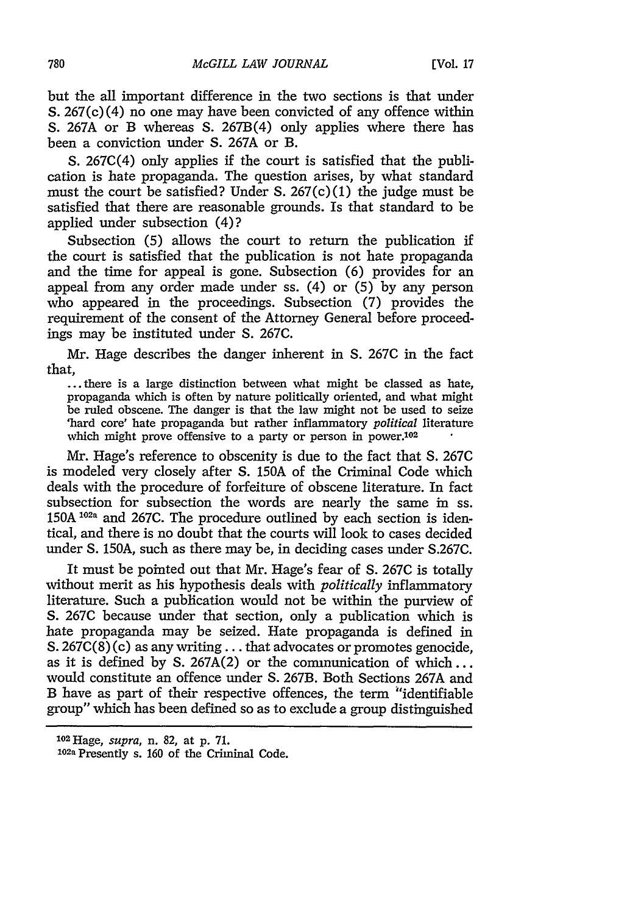but the all important difference in the two sections is that under S.  $267(c)(4)$  no one may have been convicted of any offence within S. 267A or B whereas S. 267B(4) only applies where there has been a conviction under S. 267A or B.

S. 267C(4) only applies if the court is satisfied that the publication is hate propaganda. The question arises, by what standard must the court be satisfied? Under S. 267(c)(1) the judge must be satisfied that there are reasonable grounds. Is that standard to be applied under subsection (4)?

Subsection (5) allows the court to return the publication if the court is satisfied that the publication is not hate propaganda and the time for appeal is gone. Subsection (6) provides for an appeal from any order made under ss. (4) or (5) by any person who appeared in the proceedings. Subsection (7) provides the requirement of the consent of the Attorney General before proceedings may be instituted under **S. 267C.**

Mr. Hage describes the danger inherent in **S.** 267C in the fact

that,**...** there is a large distinction between what might be classed as hate, be ruled obscene. The danger is that the law might not be used to seize 'hard core' hate propaganda but rather inflammatory *political* literature which might prove offensive to a party or person in power.<sup>102</sup>

Mr. Hage's reference to obscenity is due to the fact that **S.** 267C is modeled very closely after S. 150A of the Criminal Code which deals with the procedure of forfeiture of obscene literature. In fact subsection for subsection the words are nearly the same in ss. 150A <sup>102a</sup> and 267C. The procedure outlined by each section is identical, and there is no doubt that the courts will look to cases decided under S. **150A,** such as there may be, in deciding cases under S.267C.

It must be pointed out that Mr. Hage's fear of **S.** 267C is totally without merit as his hypothesis deals with *politically* inflammatory literature. Such a publication would not be within the purview of **S.** 267C because under that section, only a publication which is hate propaganda may be seized. Hate propaganda is defined in S.  $267C(8)(c)$  as any writing... that advocates or promotes genocide, as it is defined by S. 267A(2) or the communication of which... would constitute an offence under S. 267B. Both Sections 267A and B have as part of their respective offences, the term "identifiable group" which has been defined so as to exclude a group distinguished

<sup>102</sup> Hage, *supra,* n. 82, at p. 71. 02

l a Presently s. 160 of the Criminal Code.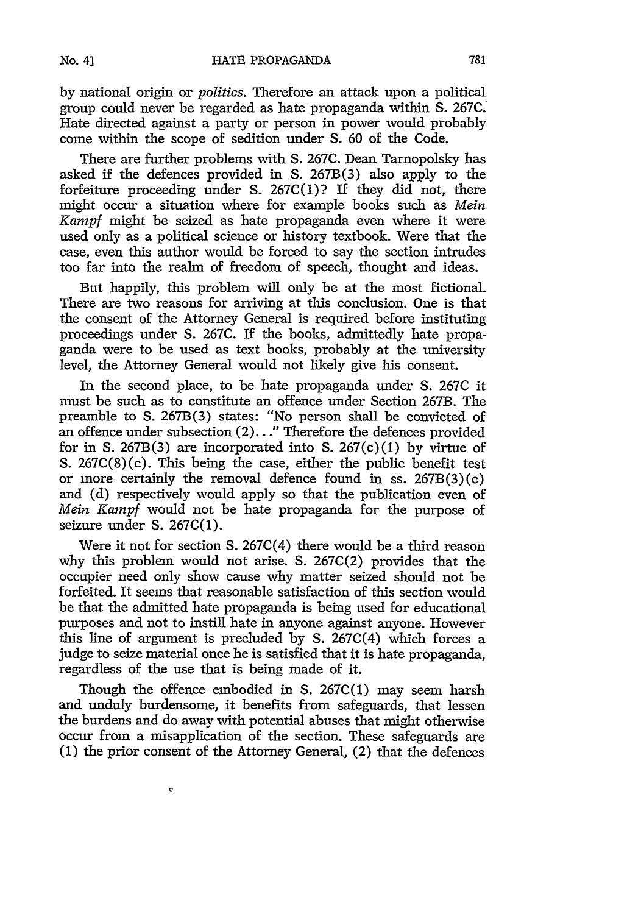by national origin or *politics.* Therefore an attack upon a political group could never be regarded as hate propaganda within S. **267C.** Hate directed against a party or person in power would probably come within the scope of sedition under S. 60 of the Code.

There are further problems with **S.** 267C. Dean Tarnopolsky has asked if the defences provided in S. 267B(3) also apply to the forfeiture proceeding under S. 267C $(1)$ ? If they did not, there might occur a situation where for example books such as *Mein Kampf* might be seized as hate propaganda even where it were used only as a political science or history textbook. Were that the case, even this author would be forced to say the section intrudes too far into the realm of freedom of speech, thought and ideas.

But happily, this problem will only be at the most fictional. There are two reasons for arriving at this conclusion. One is that the consent of the Attorney General is required before instituting proceedings under **S.** 267C. If the books, admittedly hate propaganda were to be used as text books, probably at the university level, the Attorney General would not likely give his consent.

In the second place, to be hate propaganda under S. 267C it must be such as to constitute an offence under Section 267B. The preamble to S. 267B(3) states: "No person shall be convicted of an offence under subsection (2). . . "Therefore the defences provided for in S. 267B(3) are incorporated into S. 267(c)(1) by virtue of **S.** 267C(8)(c). This being the case, either the public benefit test or more certainly the removal defence found in ss. 267B(3)(c) and (d) respectively would apply so that the publication even of *Mein Kampf* would not be hate propaganda for the purpose of seizure under **S.** 267C(1).

Were it not for section **S.** 267C(4) there would be a third reason why this problem would not arise. **S.** 267C(2) provides that the occupier need only show cause why matter seized should not be forfeited. It seems that reasonable satisfaction of this section would be that the admitted hate propaganda is being used for educational purposes and not to instill hate in anyone against anyone. However this line of argument is precluded by **S.** 267C(4) which forces a judge to seize material once he is satisfied that it is hate propaganda, regardless of the use that is being made of it.

Though the offence embodied in **S.** 267C(1) may seem harsh and unduly burdensome, it benefits from safeguards, that lessen the burdens and do away with potential abuses that might otherwise occur from a misapplication of the section. These safeguards are (1) the prior consent of the Attorney General, (2) that the defences

 $\ddot{\circ}$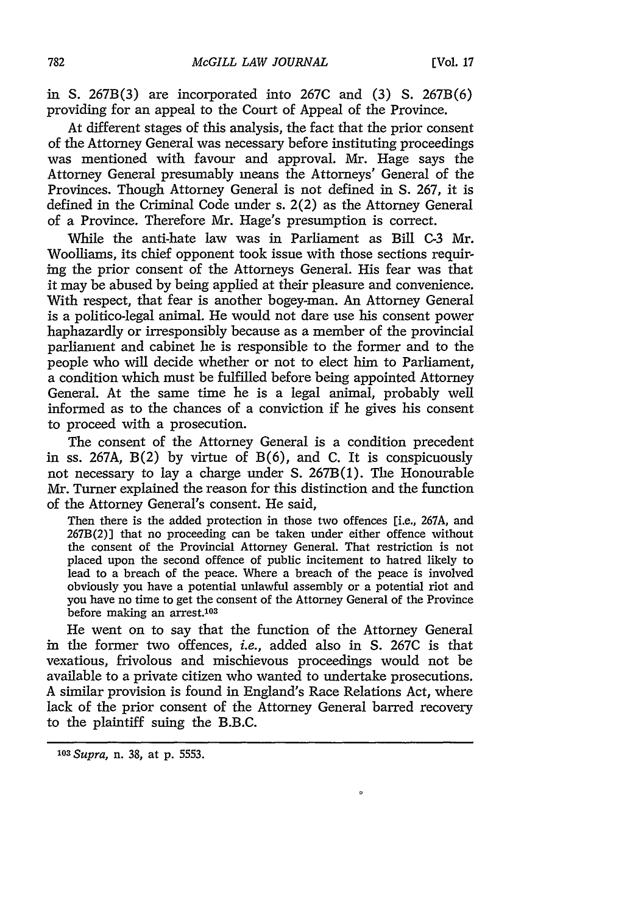in **S. 267B(3)** are incorporated into **267C** and **(3) S. 267B(6)** providing for an appeal to the Court of Appeal of the Province.

At different stages of this analysis, the fact that the prior consent of the Attorney General was necessary before instituting proceedings was mentioned with favour and approval. Mr. Hage says the Attorney General presumably means the Attorneys' General of the Provinces. Though Attorney General is not defined in **S. 267,** it is defined in the Criminal Code under s. 2(2) as the Attorney General of a Province. Therefore Mr. Hage's presumption is correct.

While the anti-hate law was in Parliament as Bill **C-3** Mr. Woolliams, its chief opponent took issue with those sections requiring the prior consent of the Attorneys General. His fear was that it may **be** abused **by** being applied at their pleasure and convenience. With respect, that fear is another bogey-man. An Attorney General is a politico-legal animal. He would not dare use his consent power haphazardly or irresponsibly because as a member of the provincial parliament and cabinet he is responsible to the former and to the people who will decide whether or not to elect him to Parliament, a condition which must be fulfilled before being appointed Attorney General. At the same time he is a legal animal, probably well informed as to the chances of a conviction if he gives his consent to proceed with a prosecution.

The consent of the Attorney General is a condition precedent in ss. **267A,** B(2) **by** virtue of B(6), and **C.** It is conspicuously not necessary to lay a charge under **S. 267B(1).** The Honourable Mr. Turner explained the reason for this distinction and the function of the Attorney General's consent. He said,

Then there is the added protection in those two offences [i.e., **267A,** and **267B(2)]** that no proceeding can be taken under either offence without the consent of the Provincial Attorney General. That restriction is not placed upon the second offence of public incitement to hatred likely to lead to a breach of the peace. Where a breach of the peace is involved obviously you have a potential unlawful assembly or a potential riot and you have no time to get the consent of the Attorney General of the Province before making an arrest.<sup>103</sup>

He went on to say that the function of the Attorney General in the former two offences, *i.e.,* added also in **S. 267C** is that vexatious, frivolous and mischievous proceedings would not be available to a private citizen who wanted to undertake prosecutions. **A** similar provision is found in England's Race Relations Act, where lack of the prior consent of the Attorney General barred recovery to the plaintiff suing the B.B.C.

*<sup>13</sup> Supra,* n. **38,** at **p. 5553.**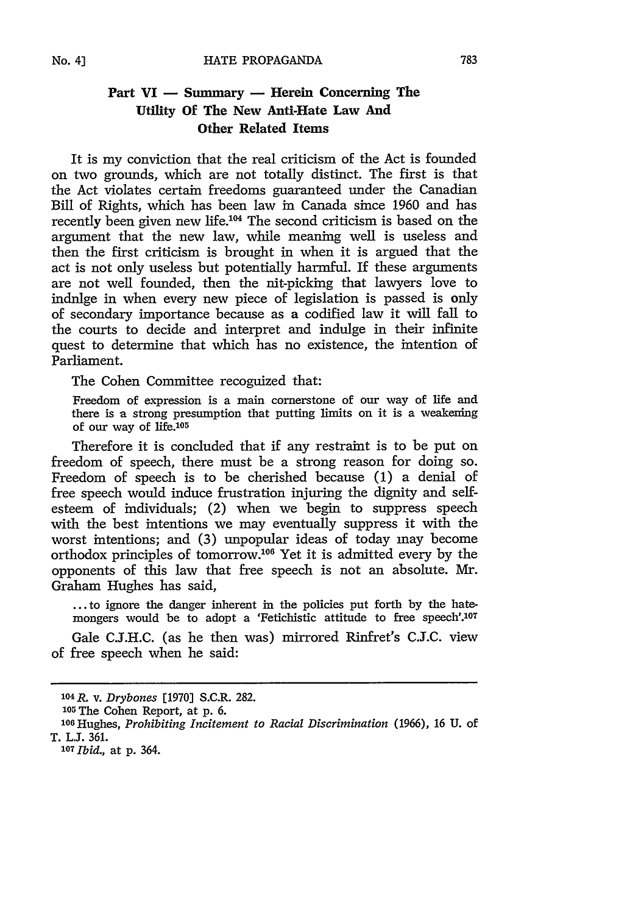## **Part VI - Summary - Herein Concerning The Utility Of The New Anti-Hate Law And Other Related Items**

It is my conviction that the real criticism of the Act is founded on two grounds, which are not totally distinct. The first is that the Act violates certain freedoms guaranteed under the Canadian Bill of Rights, which has been law in Canada since 1960 and has recently been given new life.<sup>104</sup> The second criticism is based on the argument that the new law, while meaning well is useless and then the first criticism is brought in when it is argued that the act is not only useless but potentially harmful. If these arguments are not well founded, then the nit-picking that lawyers love to indulge in when every new piece of legislation is passed is only of secondary importance because as a codified law it will fall to the courts to decide and interpret and indulge in their infinite quest to determine that which has no existence, the intention of Parliament.

The Cohen Committee recoguized that:

Freedom of expression is a main cornerstone of our way of life and there is a strong presumption that putting limits on it is a weakening of our way of life.105

Therefore it is concluded that if any restraint is to be put on freedom of speech, there must be a strong reason for doing so. Freedom of speech is to be cherished because (1) a denial of free speech would induce frustration injuring the dignity and selfesteem of individuals; (2) when we begin to suppress speech with the best intentions we may eventually suppress it with the worst intentions; and (3) unpopular ideas of today may become orthodox principles of tomorrow.<sup>106</sup> Yet it is admitted every by the opponents of this law that free speech is not an absolute. Mr. Graham Hughes has said,

**...** to ignore the danger inherent in the policies put forth by the hatemongers would be to adopt a 'Fetichistic attitude to free speech'.<sup>107</sup>

Gale C.J.H.C. (as he then was) mirrored Rinfret's C.J.C. view of free speech when he said:

*<sup>107</sup>Ibid.,* at p. 364.

<sup>104</sup>R. v. *Drybones* [1970] S.C.R. 282.

**<sup>105</sup>**The Cohen Report, at p. 6.

**<sup>10</sup>**Hughes, *Prohibiting Incitement to Racial Discrimination* (1966), 16 **U.** of T. *LJ.* 361.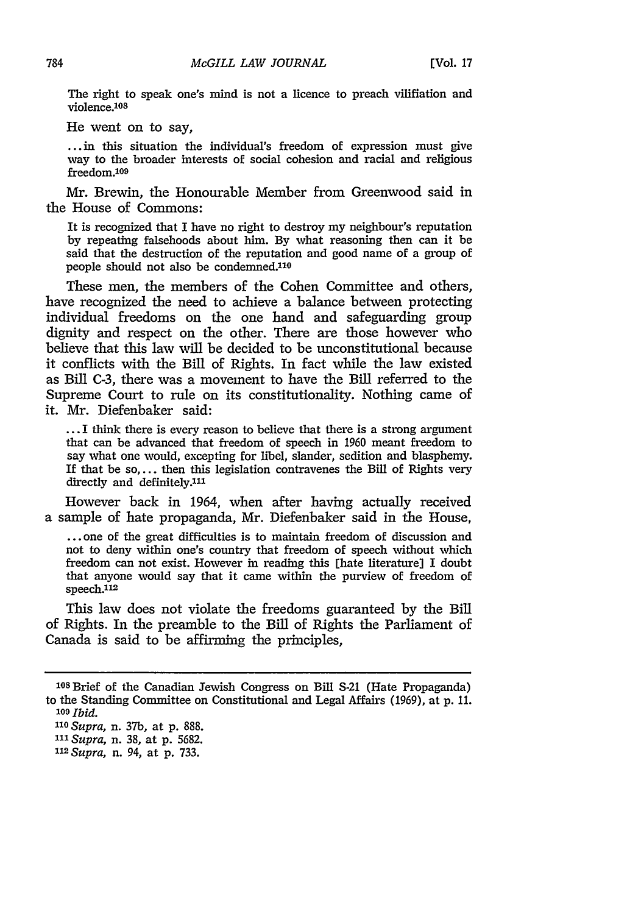The right to speak one's mind is not a licence to preach vilifiation and violence.<sup>108</sup>

He went on to say,

**...** in this situation the individual's freedom of expression must give way to the broader interests of social cohesion and racial and religious freedom.<sup>109</sup>

Mr. Brewin, the Honourable Member from Greenwood said in the House of Commons:

It is recognized that I have no right to destroy my neighbour's reputation by repeating falsehoods about him. By what reasoning then can it be said that the destruction of the reputation and good name of a group of people should not also be condemned.<sup>110</sup>

These men, the members of the Cohen Committee and others, have recognized the need to achieve a balance between protecting individual freedoms on the one hand and safeguarding group dignity and respect on the other. There are those however who believe that this law will be decided to be unconstitutional because it conflicts with the Bill of Rights. In fact while the law existed as Bill C-3, there was a movement to have the Bill referred to the Supreme Court to rule on its constitutionality. Nothing came of it. Mr. Diefenbaker said:

... I think there is every reason to believe that there is a strong argument that can be advanced that freedom of speech in 1960 meant freedom to say what one would, excepting for libel, slander, sedition and blasphemy. If that be so, ... then this legislation contravenes the Bill of Rights very directly and definitely.<sup>111</sup>

However back in 1964, when after having actually received a sample of hate propaganda, Mr. Diefenbaker said in the House,

... one of the great difficulties is to maintain freedom of discussion and not to deny within one's country that freedom of speech without which freedom can not exist. However in reading this [hate literature] I doubt that anyone would say that it came within the purview of freedom of speech.<sup>112</sup>

This law does not violate the freedoms guaranteed by the Bill of Rights. In the preamble to the Bill of Rights the Parliament of Canada is said to be affirming the principles,

**<sup>108</sup>**Brief of the Canadian Jewish Congress on Bill S-21 (Hate Propaganda) to the Standing Committee on Constitutional and Legal Affairs (1969), at p. 11. *<sup>109</sup>Ibid.*

*<sup>110</sup>Supra,* n. **37b,** at **p.** 888.

*<sup>&</sup>quot; Supra,* n. 38, at p. 5682.

*<sup>112</sup> Supra,* n. 94, at p. **733.**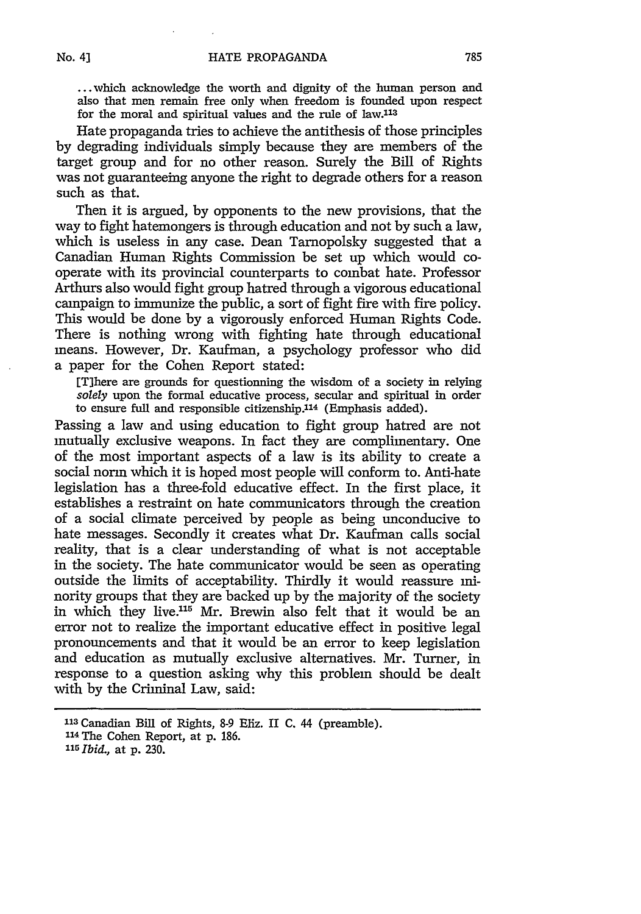**...** which acknowledge the worth and dignity of the human person and also that men remain free only when freedom is founded upon respect for the moral and spiritual values and the rule of law.<sup>113</sup>

Hate propaganda tries to achieve the antithesis of those principles by degrading individuals simply because they are members of the target group and for no other reason. Surely the Bill of Rights was not guaranteeing anyone the right to degrade others for a reason such as that.

Then it is argued, by opponents to the new provisions, that the way to fight hatemongers is through education and not by such a law, which is useless in any case. Dean Tarnopolsky suggested that a Canadian Human Rights Commission be set up which would cooperate with its provincial counterparts to combat hate. Professor Arthurs also would fight group hatred through a vigorous educational campaign to immunize the public, a sort of fight fire with fire policy. This would be done by a vigorously enforced Human Rights Code. There is nothing wrong with fighting hate through educational means. However, Dr. Kaufman, a psychology professor who did a paper for the Cohen Report stated:

[Tlhere are grounds for questionning the wisdom of a society in relying *solely* upon the formal educative process, secular and spiritual in order to ensure full and responsible citizenship.<sup>114</sup> (Emphasis added).

Passing a law and using education to fight group hatred are not mutually exclusive weapons. In fact they are complimentary. One of the most important aspects of a law is its ability to create a social norm which it is hoped most people will conform to. Anti-hate legislation has a three-fold educative effect. In the first place, it establishes a restraint on hate communicators through the creation of a social climate perceived by people as being unconducive to hate messages. Secondly it creates what Dr. Kaufman calls social reality, that is a clear understanding of what is not acceptable in the society. The hate communicator would be seen as operating outside the limits of acceptability. Thirdly it would reassure minority groups that they are backed up by the majority of the society in which they live.<sup>115</sup> Mr. Brewin also felt that it would be an error not to realize the important educative effect in positive legal pronouncements and that it would be an error to keep legislation and education as mutually exclusive alternatives. Mr. Turner, in response to a question asking why this problem should be dealt with by the Criminal Law, said:

**<sup>&</sup>quot;13** Canadian Bill of Rights, 8-9 Eliz. II C. 44 (preamble). **<sup>114</sup>**The Cohen Report, at p. 186. *15 Ibid.,* at p. 230.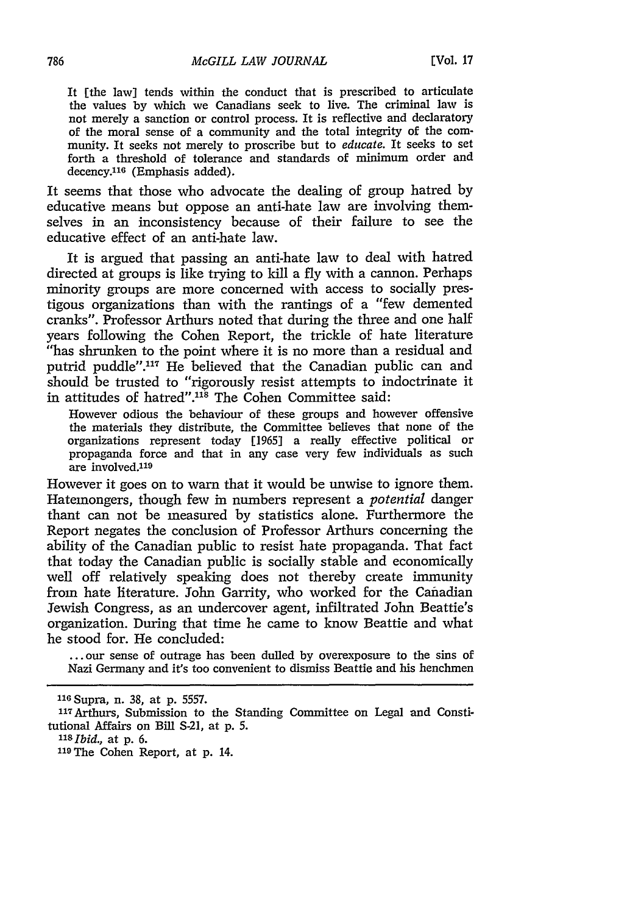It [the law] tends within the conduct that is prescribed to articulate the values by which we Canadians seek to live. The criminal law is not merely a sanction or control process. It is reflective and declaratory of the moral sense of a community and the total integrity of the community. It seeks not merely to proscribe but to *educate.* It seeks to set forth a threshold of tolerance and standards of minimum order and decency.<sup>116</sup> (Emphasis added).

It seems that those who advocate the dealing of group hatred by educative means but oppose an anti-hate law are involving themselves in an inconsistency because of their failure to see the educative effect of an anti-hate law.

It is argued that passing an anti-hate law to deal with hatred directed at groups is like trying to kill a fly with a cannon. Perhaps minority groups are more concerned with access to socially prestigous organizations than with the rantings of a "few demented cranks". Professor Arthurs noted that during the three and one half years following the Cohen Report, the trickle of hate literature "has shrunken to the point where it is no more than a residual and putrid puddle".<sup>117</sup> He believed that the Canadian public can and should be trusted to "rigorously resist attempts to indoctrinate it in attitudes of hatred".<sup>118</sup> The Cohen Committee said:

However odious the behaviour of these groups and however offensive the materials they distribute, the Committee believes that none of the organizations represent today [1965] a really effective political or propaganda force and that in any case very few individuals as such are involved.<sup>119</sup>

However it goes on to warn that it would be unwise to ignore them. Hatemongers, though few in numbers represent a *potential* danger thant can not be measured by statistics alone. Furthermore the Report negates the conclusion of Professor Arthurs concerning the ability of the Canadian public to resist hate propaganda. That fact that today the Canadian public is socially stable and economically well off relatively speaking does not thereby create immunity from hate literature. John Garrity, who worked for the Canadian Jewish Congress, as an undercover agent, infiltrated John Beattie's organization. During that time he came to know Beattie and what he stood for. He concluded:

**...** our sense of outrage has been dulled by overexposure to the sins of Nazi Germany and it's too convenient to dismiss Beattie and his henchmen

**<sup>116</sup>**Supra, n. 38, at p. 5557.

<sup>117</sup> Arthurs, Submission to the Standing Committee on Legal and Constitutional Affairs on Bill S-21, at p. 5.

*<sup>1</sup>s Ibid.,* at p. 6.

<sup>&</sup>lt;sup>119</sup>The Cohen Report, at p. 14.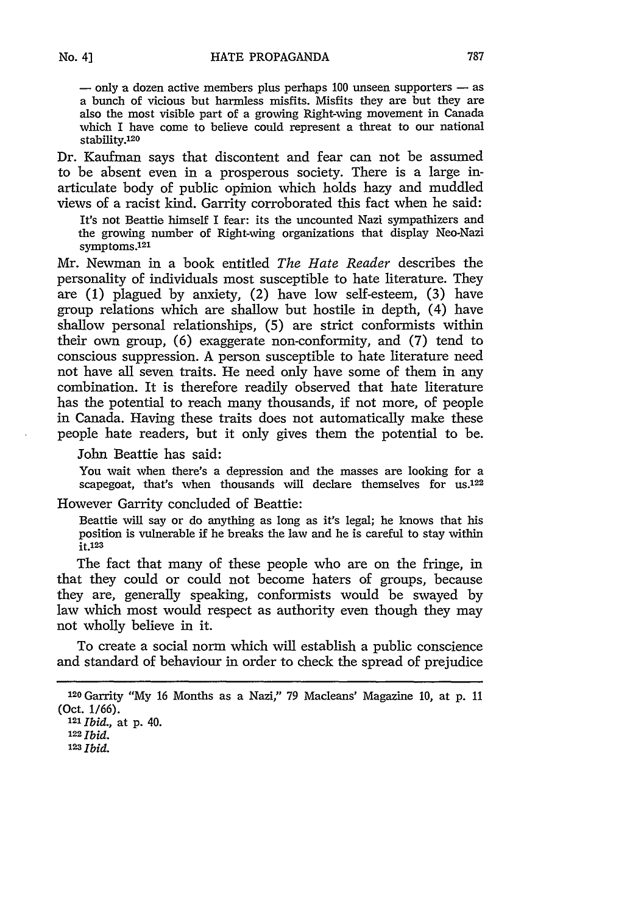**-** only a dozen active members plus perhaps **I00** unseen supporters **-** as a bunch of vicious but harmless misfits. Misfits they are but they are also the most visible part of a growing Right-wing movement in Canada which I have come to believe could represent a threat to our national stability.120

Dr. Kaufman says that discontent and fear can not be assumed to be absent even in a prosperous society. There is a large inarticulate body of public opinion which holds hazy and muddled views of a racist kind. Garrity corroborated this fact when he said:

It's not Beattie himself I fear: its the uncounted Nazi sympathizers and the growing number of Right-wing organizations that display Neo-Nazi symptoms.<sup>121</sup>

Mr. Newman in a book entitled *The Hate Reader* describes the personality of individuals most susceptible to hate literature. They are **(1)** plagued by anxiety, (2) have low self-esteem, (3) have group relations which are shallow but hostile in depth, (4) have shallow personal relationships, (5) are strict conformists within their own group, (6) exaggerate non-conformity, and (7) tend to conscious suppression. A person susceptible to hate literature need not have all seven traits. He need only have some of them in any combination. It is therefore readily observed that hate literature has the potential to reach many thousands, if not more, of people in Canada. Having these traits does not automatically make these people hate readers, but it only gives them the potential to be.

John Beattie has said:

You wait when there's a depression and the masses are looking for a scapegoat, that's when thousands will declare themselves for **us.<sup>122</sup>**

However Garrity concluded of Beattie:

Beattie will say or do anything as long as it's legal; he knows that his position is vulnerable if he breaks the law and he is careful to stay within it.123

The fact that many of these people who are on the fringe, in that they could or could not become haters of groups, because they are, generally speaking, conformists would be swayed by law which most would respect as authority even though they may not wholly believe in it.

To create a social norm which will establish a public conscience and standard of behaviour in order to check the spread of prejudice

<sup>12</sup>oGarrity "My 16 Months as a Nazi," 79 Macleans' Magazine **10,** at p. 11 (Oct. 1/66).

<sup>121</sup>*Ibid.,* at p. 40. *<sup>122</sup>Ibid. '3 Ibid.*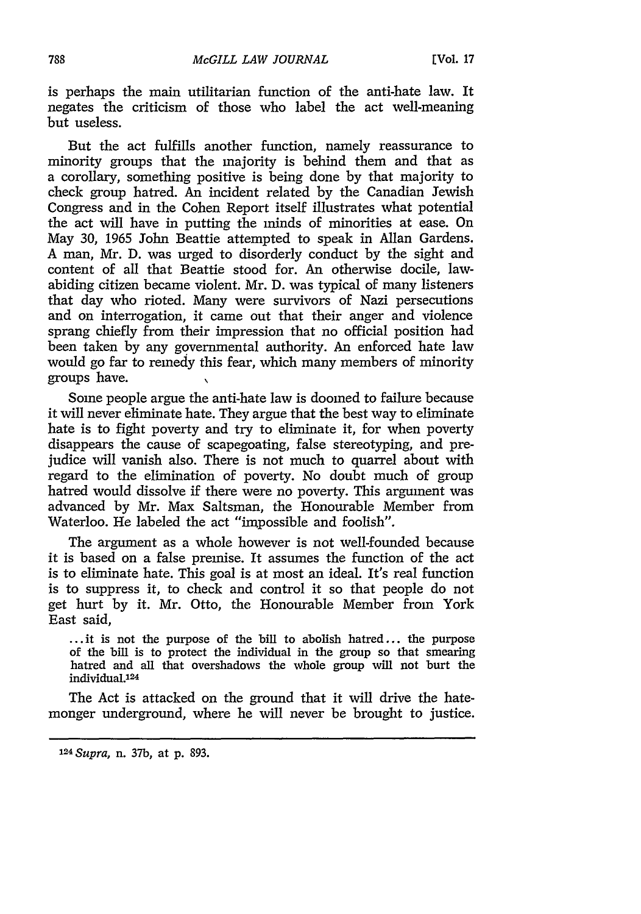is perhaps the main utilitarian function of the anti-hate law. It negates the criticism of those who label the act well-meaning but useless.

But the act fulfills another function, namely reassurance to minority groups that the majority is behind them and that as a corollary, something positive is being done **by** that majority to check group hatred. An incident related **by** the Canadian Jewish Congress and in the Cohen Report itself illustrates what potential the act will have in putting the minds of minorities at ease. On May **30, 1965** John Beattie attempted to speak in Allan Gardens. **A** man, Mr. **D.** was urged to disorderly conduct **by** the sight and content of all that Beattie stood for. An otherwise docile, lawabiding citizen became violent. Mr. **D.** was typical of many listeners that day who rioted. Many were survivors of Nazi persecutions and on interrogation, it came out that their anger and violence sprang chiefly from their impression that no official position had been taken **by** any governmental authority. An enforced hate law would go far to remedy this fear, which many members of minority groups have.

Some people argue the anti-hate law is doomed to failure because it will never eliminate hate. They argue that the best way to eliminate hate is to fight poverty and try to eliminate it, for when poverty disappears the cause of scapegoating, false stereotyping, and prejudice will vanish also. There is not much to quarrel about with regard to the elimination of poverty. No doubt much of group hatred would dissolve if there were no poverty. This argument was advanced **by** Mr. Max Saltsman, the Honourable Member from Waterloo. He labeled the act "impossible and foolish".

The argument as a whole however is not well-founded because it is based on a false premise. It assumes the function of the act is to eliminate hate. This goal is at most an ideal. It's real function is to suppress it, to check and control it so that people do not get hurt **by** it. Mr. Otto, the Honourable Member from York East said,

**... it** is not the purpose of the bill to abolish hatred... the purpose of the **bill** is to protect the individual in the group so that smearing hatred and all that overshadows the whole group will not burt the individual.<sup>124</sup>

The Act is attacked on the ground that it will drive the hatemonger underground, where he will never be brought to justice.

*1 <sup>24</sup> Supra,* n. **37b,** at **p. 893.**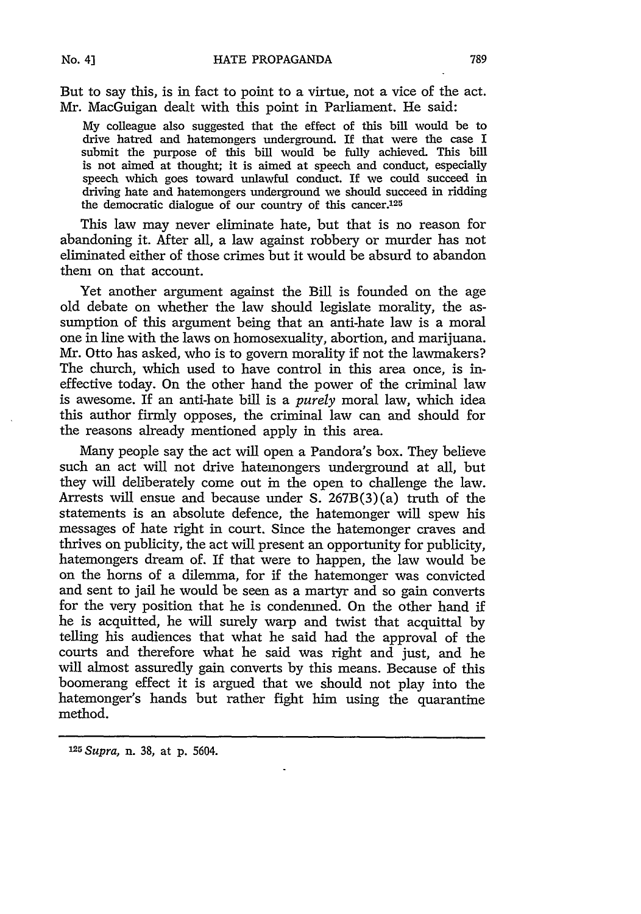**No. 4]**

But to say this, is in fact to point to a virtue, not a vice of the act. Mr. MacGuigan dealt with this point in Parliament. He said:

My colleague also suggested that the effect of this bill would be to drive hatred and hatemongers underground. If that were the case I submit the purpose of this bill would be fully achieved. This bill is not aimed at thought; it is aimed at speech and conduct, especially speech which goes toward unlawful conduct. If we could succeed in driving hate and hatemongers underground we should succeed in ridding the democratic dialogue of our country of this cancer.<sup>125</sup>

This law may never eliminate hate, but that is no reason for abandoning it. After all, a law against robbery or murder has not eliminated either of those crimes but it would be absurd to abandon them on that account.

Yet another argument against the Bill is founded on the age old debate on whether the law should legislate morality, the assumption of this argument being that an anti-hate law is a moral one in line with the laws on homosexuality, abortion, and marijuana. Mr. Otto has asked, who is to govern morality if not the lawmakers? The church, which used to have control in this area once, is ineffective today. On the other hand the power of the criminal law is awesome. If an anti-hate bill is a *purely* moral law, which idea this author firmly opposes, the criminal law can and should for the reasons already mentioned apply in this area.

Many people say the act will open a Pandora's box. They believe such an act will not drive hatemongers underground at all, but they will deliberately come out in the open to challenge the law. Arrests will ensue and because under S. 267B(3)(a) truth of the statements is an absolute defence, the hatemonger will spew his messages of hate right in court. Since the hatemonger craves and thrives on publicity, the act will present an opportunity for publicity, hatemongers dream of. If that were to happen, the law would be on the horns of a dilemma, for if the hatemonger was convicted and sent to jail he would be seen as a martyr and so gain converts for the very position that he is condemned. On the other hand if he is acquitted, he will surely warp and twist that acquittal by telling his audiences that what he said had the approval of the courts and therefore what he said was right and just, and he will almost assuredly gain converts by this means. Because of this boomerang effect it is argued that we should not play into the hatemonger's hands but rather fight him using the quarantine method.

*125 Supra,* n. 38, at **p.** 5604.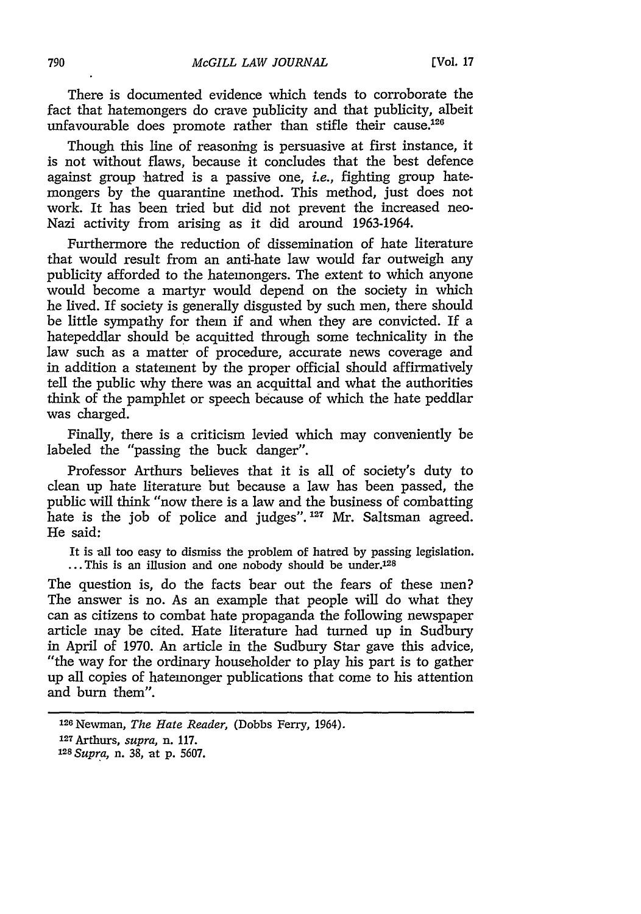There is documented evidence which tends to corroborate the fact that hatemongers do crave publicity and that publicity, albeit unfavourable does promote rather than stifle their cause.<sup>126</sup>

Though this line of reasoning is persuasive at first instance, it is not without flaws, because it concludes that the best defence against group hatred is a passive one, *i.e.*, fighting group hatemongers by the quarantine method. This method, just does not work. It has been tried but did not prevent the increased neo-Nazi activity from arising as it did around 1963-1964.

Furthermore the reduction of dissemination of hate literature that would result from an anti-hate law would far outweigh any publicity afforded to the hatemongers. The extent to which anyone would become a martyr would depend on the society in which he lived. If society is generally disgusted by such men, there should be little sympathy for them if and when they are convicted. If a hatepeddlar should be acquitted through some technicality in the law such as a matter of procedure, accurate news coverage and in addition a statement by the proper official should affirmatively tell the public why there was an acquittal and what the authorities think of the pamphlet or speech because of which the hate peddlar was charged.

Finally, there is a criticism levied which may conveniently be labeled the "passing the buck danger".

Professor Arthurs believes that it is all of society's duty to clean up hate literature but because a law has been passed, the public will think "now there is a law and the business of combatting hate is the job of police and judges". **127** Mr. Saltsman agreed. He said:

It is all too easy to dismiss the problem of hatred by passing legislation. ... This is an illusion and one nobody should be under.<sup>128</sup>

The question is, do the facts bear out the fears of these men? The answer is no. As an example that people will do what they can as citizens to combat hate propaganda the following newspaper article may be cited. Hate literature had turned up in Sudbury in April of 1970. An article in the Sudbury Star gave this advice, "the way for the ordinary householder to play his part is to gather up all copies of hatemonger publications that come to his attention and burn them".

<sup>126</sup> Newman, *The Hate Reader,* (Dobbs Ferry, 1964).

*<sup>127</sup>*Arthurs, *supra,* n. 117.

*<sup>128</sup>Supra,* n. 38, at p. 5607.